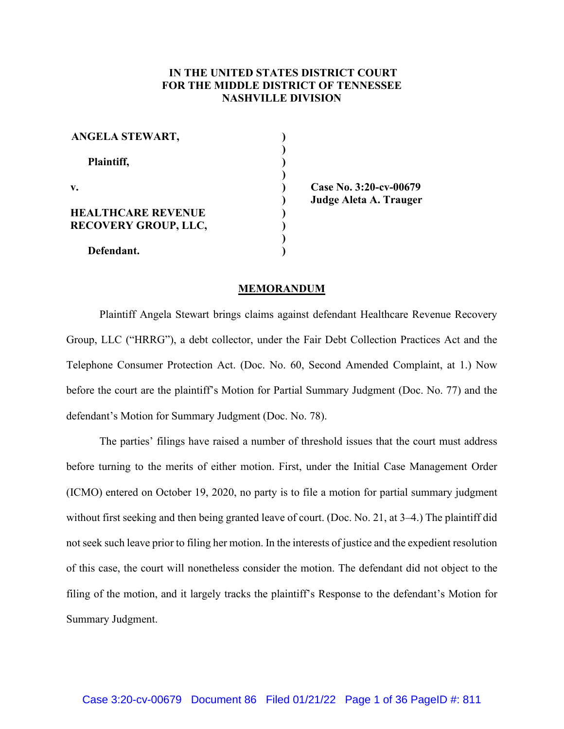# **IN THE UNITED STATES DISTRICT COURT FOR THE MIDDLE DISTRICT OF TENNESSEE NASHVILLE DIVISION**

| ANGELA STEWART,                                          |  |
|----------------------------------------------------------|--|
| Plaintiff,                                               |  |
| $\mathbf{v}$ .                                           |  |
| <b>HEALTHCARE REVENUE</b><br><b>RECOVERY GROUP, LLC,</b> |  |
| Defendant.                                               |  |

**Case No. 3:20-cv-00679 Judge Aleta A. Trauger**

#### **MEMORANDUM**

Plaintiff Angela Stewart brings claims against defendant Healthcare Revenue Recovery Group, LLC ("HRRG"), a debt collector, under the Fair Debt Collection Practices Act and the Telephone Consumer Protection Act. (Doc. No. 60, Second Amended Complaint, at 1.) Now before the court are the plaintiff's Motion for Partial Summary Judgment (Doc. No. 77) and the defendant's Motion for Summary Judgment (Doc. No. 78).

The parties' filings have raised a number of threshold issues that the court must address before turning to the merits of either motion. First, under the Initial Case Management Order (ICMO) entered on October 19, 2020, no party is to file a motion for partial summary judgment without first seeking and then being granted leave of court. (Doc. No. 21, at 3–4.) The plaintiff did not seek such leave prior to filing her motion. In the interests of justice and the expedient resolution of this case, the court will nonetheless consider the motion. The defendant did not object to the filing of the motion, and it largely tracks the plaintiff's Response to the defendant's Motion for Summary Judgment.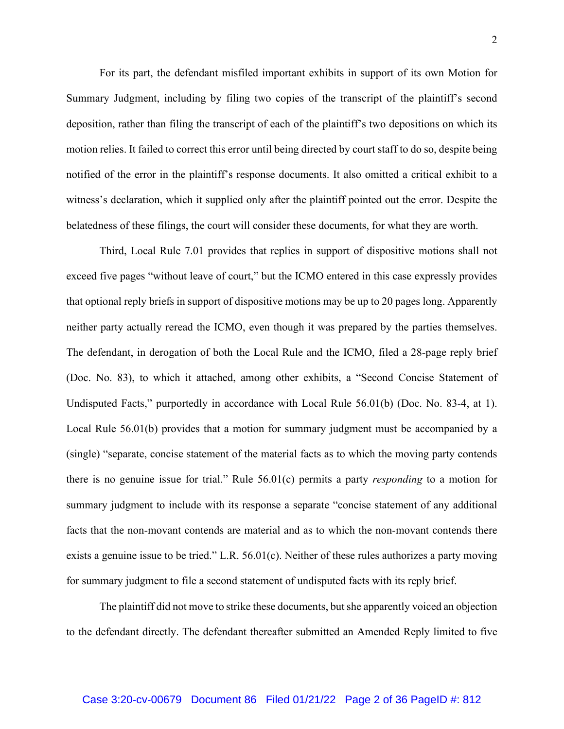For its part, the defendant misfiled important exhibits in support of its own Motion for Summary Judgment, including by filing two copies of the transcript of the plaintiff's second deposition, rather than filing the transcript of each of the plaintiff's two depositions on which its motion relies. It failed to correct this error until being directed by court staff to do so, despite being notified of the error in the plaintiff's response documents. It also omitted a critical exhibit to a witness's declaration, which it supplied only after the plaintiff pointed out the error. Despite the belatedness of these filings, the court will consider these documents, for what they are worth.

Third, Local Rule 7.01 provides that replies in support of dispositive motions shall not exceed five pages "without leave of court," but the ICMO entered in this case expressly provides that optional reply briefs in support of dispositive motions may be up to 20 pages long. Apparently neither party actually reread the ICMO, even though it was prepared by the parties themselves. The defendant, in derogation of both the Local Rule and the ICMO, filed a 28-page reply brief (Doc. No. 83), to which it attached, among other exhibits, a "Second Concise Statement of Undisputed Facts," purportedly in accordance with Local Rule 56.01(b) (Doc. No. 83-4, at 1). Local Rule 56.01(b) provides that a motion for summary judgment must be accompanied by a (single) "separate, concise statement of the material facts as to which the moving party contends there is no genuine issue for trial." Rule 56.01(c) permits a party *responding* to a motion for summary judgment to include with its response a separate "concise statement of any additional facts that the non-movant contends are material and as to which the non-movant contends there exists a genuine issue to be tried." L.R. 56.01(c). Neither of these rules authorizes a party moving for summary judgment to file a second statement of undisputed facts with its reply brief.

The plaintiff did not move to strike these documents, but she apparently voiced an objection to the defendant directly. The defendant thereafter submitted an Amended Reply limited to five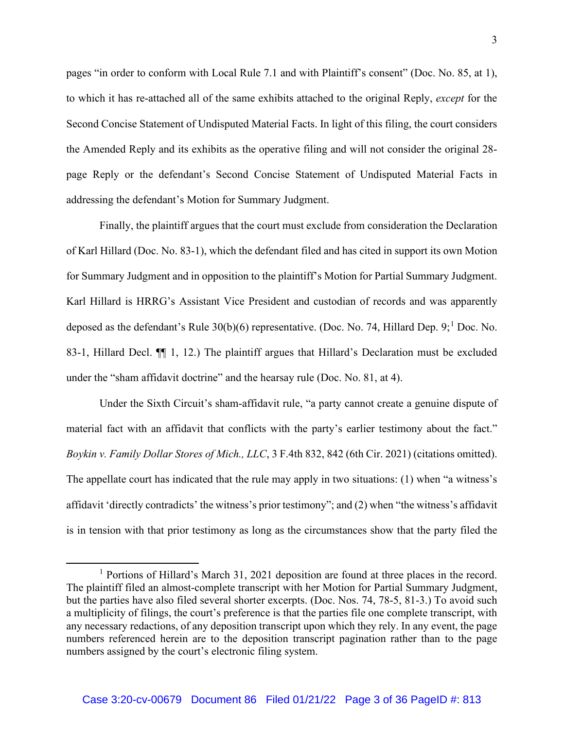pages "in order to conform with Local Rule 7.1 and with Plaintiff's consent" (Doc. No. 85, at 1), to which it has re-attached all of the same exhibits attached to the original Reply, *except* for the Second Concise Statement of Undisputed Material Facts. In light of this filing, the court considers the Amended Reply and its exhibits as the operative filing and will not consider the original 28 page Reply or the defendant's Second Concise Statement of Undisputed Material Facts in addressing the defendant's Motion for Summary Judgment.

Finally, the plaintiff argues that the court must exclude from consideration the Declaration of Karl Hillard (Doc. No. 83-1), which the defendant filed and has cited in support its own Motion for Summary Judgment and in opposition to the plaintiff's Motion for Partial Summary Judgment. Karl Hillard is HRRG's Assistant Vice President and custodian of records and was apparently deposed as the defendant's Rule  $30(b)(6)$  representative. (Doc. No. 74, Hillard Dep. 9;<sup>1</sup> Doc. No. 83-1, Hillard Decl. ¶¶ 1, 12.) The plaintiff argues that Hillard's Declaration must be excluded under the "sham affidavit doctrine" and the hearsay rule (Doc. No. 81, at 4).

Under the Sixth Circuit's sham-affidavit rule, "a party cannot create a genuine dispute of material fact with an affidavit that conflicts with the party's earlier testimony about the fact." *Boykin v. Family Dollar Stores of Mich., LLC*, 3 F.4th 832, 842 (6th Cir. 2021) (citations omitted). The appellate court has indicated that the rule may apply in two situations: (1) when "a witness's affidavit 'directly contradicts' the witness's prior testimony"; and (2) when "the witness's affidavit is in tension with that prior testimony as long as the circumstances show that the party filed the

<sup>1</sup> Portions of Hillard's March 31, 2021 deposition are found at three places in the record. The plaintiff filed an almost-complete transcript with her Motion for Partial Summary Judgment, but the parties have also filed several shorter excerpts. (Doc. Nos. 74, 78-5, 81-3.) To avoid such a multiplicity of filings, the court's preference is that the parties file one complete transcript, with any necessary redactions, of any deposition transcript upon which they rely. In any event, the page numbers referenced herein are to the deposition transcript pagination rather than to the page numbers assigned by the court's electronic filing system.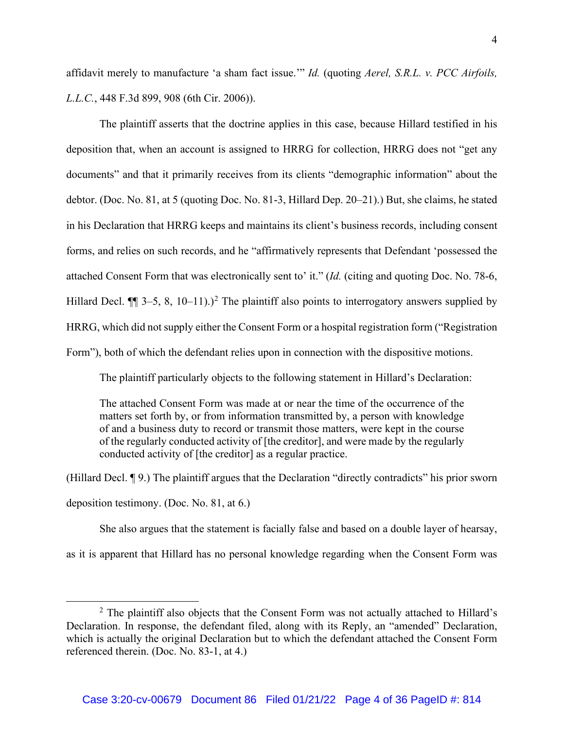affidavit merely to manufacture 'a sham fact issue.'" *Id.* (quoting *Aerel, S.R.L. v. PCC Airfoils, L.L.C.*, 448 F.3d 899, 908 (6th Cir. 2006)).

The plaintiff asserts that the doctrine applies in this case, because Hillard testified in his deposition that, when an account is assigned to HRRG for collection, HRRG does not "get any documents" and that it primarily receives from its clients "demographic information" about the debtor. (Doc. No. 81, at 5 (quoting Doc. No. 81-3, Hillard Dep. 20–21).) But, she claims, he stated in his Declaration that HRRG keeps and maintains its client's business records, including consent forms, and relies on such records, and he "affirmatively represents that Defendant 'possessed the attached Consent Form that was electronically sent to' it." (*Id.* (citing and quoting Doc. No. 78-6, Hillard Decl.  $\P$  3–5, 8, 10–11).)<sup>2</sup> The plaintiff also points to interrogatory answers supplied by HRRG, which did not supply either the Consent Form or a hospital registration form ("Registration Form"), both of which the defendant relies upon in connection with the dispositive motions.

The plaintiff particularly objects to the following statement in Hillard's Declaration:

The attached Consent Form was made at or near the time of the occurrence of the matters set forth by, or from information transmitted by, a person with knowledge of and a business duty to record or transmit those matters, were kept in the course of the regularly conducted activity of [the creditor], and were made by the regularly conducted activity of [the creditor] as a regular practice.

(Hillard Decl. ¶ 9.) The plaintiff argues that the Declaration "directly contradicts" his prior sworn deposition testimony. (Doc. No. 81, at 6.)

She also argues that the statement is facially false and based on a double layer of hearsay, as it is apparent that Hillard has no personal knowledge regarding when the Consent Form was

 $2$  The plaintiff also objects that the Consent Form was not actually attached to Hillard's Declaration. In response, the defendant filed, along with its Reply, an "amended" Declaration, which is actually the original Declaration but to which the defendant attached the Consent Form referenced therein. (Doc. No. 83-1, at 4.)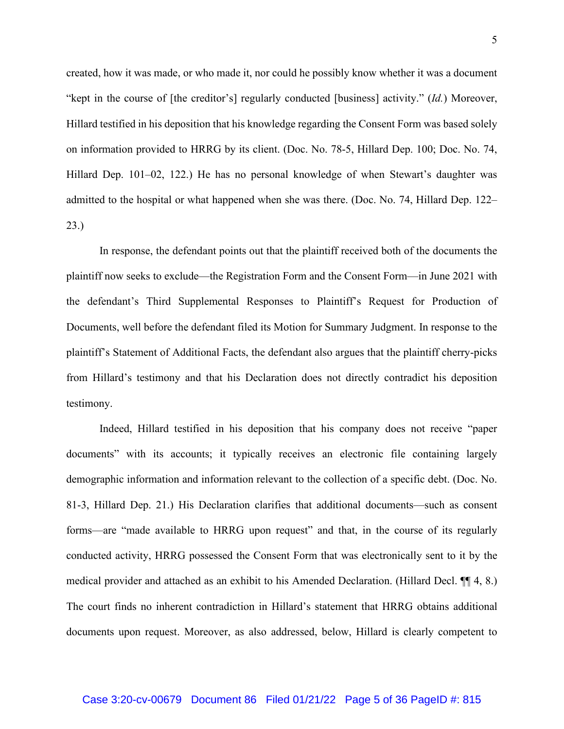created, how it was made, or who made it, nor could he possibly know whether it was a document "kept in the course of [the creditor's] regularly conducted [business] activity." (*Id.*) Moreover, Hillard testified in his deposition that his knowledge regarding the Consent Form was based solely on information provided to HRRG by its client. (Doc. No. 78-5, Hillard Dep. 100; Doc. No. 74, Hillard Dep. 101–02, 122.) He has no personal knowledge of when Stewart's daughter was admitted to the hospital or what happened when she was there. (Doc. No. 74, Hillard Dep. 122– 23.)

In response, the defendant points out that the plaintiff received both of the documents the plaintiff now seeks to exclude—the Registration Form and the Consent Form—in June 2021 with the defendant's Third Supplemental Responses to Plaintiff's Request for Production of Documents, well before the defendant filed its Motion for Summary Judgment. In response to the plaintiff's Statement of Additional Facts, the defendant also argues that the plaintiff cherry-picks from Hillard's testimony and that his Declaration does not directly contradict his deposition testimony.

Indeed, Hillard testified in his deposition that his company does not receive "paper documents" with its accounts; it typically receives an electronic file containing largely demographic information and information relevant to the collection of a specific debt. (Doc. No. 81-3, Hillard Dep. 21.) His Declaration clarifies that additional documents—such as consent forms—are "made available to HRRG upon request" and that, in the course of its regularly conducted activity, HRRG possessed the Consent Form that was electronically sent to it by the medical provider and attached as an exhibit to his Amended Declaration. (Hillard Decl. ¶¶ 4, 8.) The court finds no inherent contradiction in Hillard's statement that HRRG obtains additional documents upon request. Moreover, as also addressed, below, Hillard is clearly competent to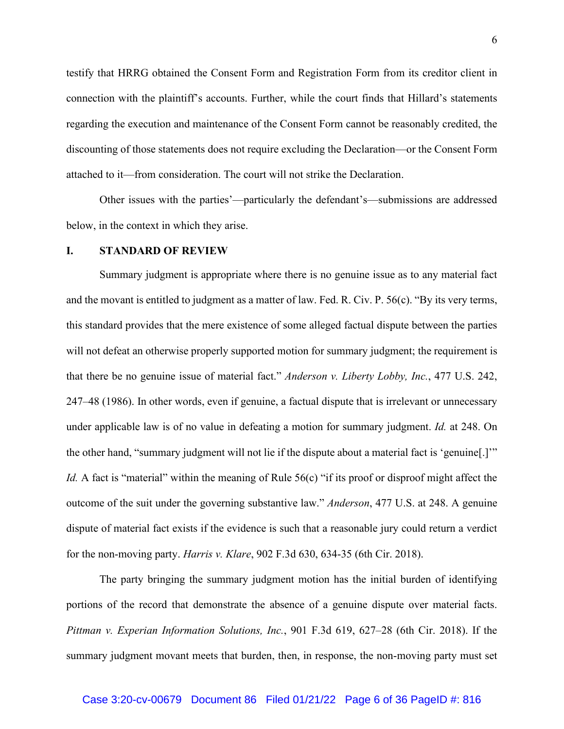testify that HRRG obtained the Consent Form and Registration Form from its creditor client in connection with the plaintiff's accounts. Further, while the court finds that Hillard's statements regarding the execution and maintenance of the Consent Form cannot be reasonably credited, the discounting of those statements does not require excluding the Declaration—or the Consent Form attached to it—from consideration. The court will not strike the Declaration.

Other issues with the parties'—particularly the defendant's—submissions are addressed below, in the context in which they arise.

#### **I. STANDARD OF REVIEW**

Summary judgment is appropriate where there is no genuine issue as to any material fact and the movant is entitled to judgment as a matter of law. Fed. R. Civ. P. 56(c). "By its very terms, this standard provides that the mere existence of some alleged factual dispute between the parties will not defeat an otherwise properly supported motion for summary judgment; the requirement is that there be no genuine issue of material fact." *Anderson v. Liberty Lobby, Inc.*, 477 U.S. 242, 247–48 (1986). In other words, even if genuine, a factual dispute that is irrelevant or unnecessary under applicable law is of no value in defeating a motion for summary judgment. *Id.* at 248. On the other hand, "summary judgment will not lie if the dispute about a material fact is 'genuine[.]'" *Id.* A fact is "material" within the meaning of Rule 56(c) "if its proof or disproof might affect the outcome of the suit under the governing substantive law." *Anderson*, 477 U.S. at 248. A genuine dispute of material fact exists if the evidence is such that a reasonable jury could return a verdict for the non-moving party. *Harris v. Klare*, 902 F.3d 630, 634-35 (6th Cir. 2018).

The party bringing the summary judgment motion has the initial burden of identifying portions of the record that demonstrate the absence of a genuine dispute over material facts. *Pittman v. Experian Information Solutions, Inc.*, 901 F.3d 619, 627–28 (6th Cir. 2018). If the summary judgment movant meets that burden, then, in response, the non-moving party must set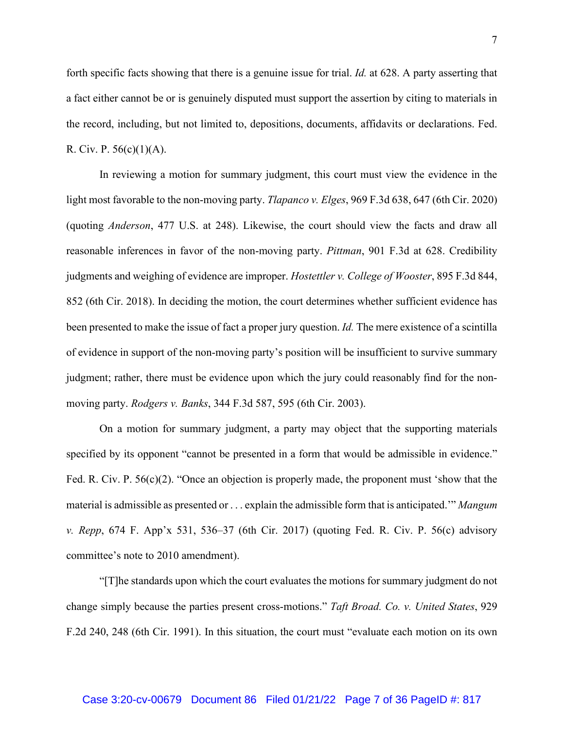forth specific facts showing that there is a genuine issue for trial. *Id.* at 628. A party asserting that a fact either cannot be or is genuinely disputed must support the assertion by citing to materials in the record, including, but not limited to, depositions, documents, affidavits or declarations. Fed. R. Civ. P.  $56(c)(1)(A)$ .

In reviewing a motion for summary judgment, this court must view the evidence in the light most favorable to the non-moving party. *Tlapanco v. Elges*, 969 F.3d 638, 647 (6th Cir. 2020) (quoting *Anderson*, 477 U.S. at 248). Likewise, the court should view the facts and draw all reasonable inferences in favor of the non-moving party. *Pittman*, 901 F.3d at 628. Credibility judgments and weighing of evidence are improper. *Hostettler v. College of Wooster*, 895 F.3d 844, 852 (6th Cir. 2018). In deciding the motion, the court determines whether sufficient evidence has been presented to make the issue of fact a proper jury question. *Id.* The mere existence of a scintilla of evidence in support of the non-moving party's position will be insufficient to survive summary judgment; rather, there must be evidence upon which the jury could reasonably find for the nonmoving party. *Rodgers v. Banks*, 344 F.3d 587, 595 (6th Cir. 2003).

On a motion for summary judgment, a party may object that the supporting materials specified by its opponent "cannot be presented in a form that would be admissible in evidence." Fed. R. Civ. P. 56(c)(2). "Once an objection is properly made, the proponent must 'show that the material is admissible as presented or . . . explain the admissible form that is anticipated.'" *Mangum v. Repp*, 674 F. App'x 531, 536–37 (6th Cir. 2017) (quoting Fed. R. Civ. P. 56(c) advisory committee's note to 2010 amendment).

"[T]he standards upon which the court evaluates the motions for summary judgment do not change simply because the parties present cross-motions." *Taft Broad. Co. v. United States*, 929 F.2d 240, 248 (6th Cir. 1991). In this situation, the court must "evaluate each motion on its own

#### Case 3:20-cv-00679 Document 86 Filed 01/21/22 Page 7 of 36 PageID #: 817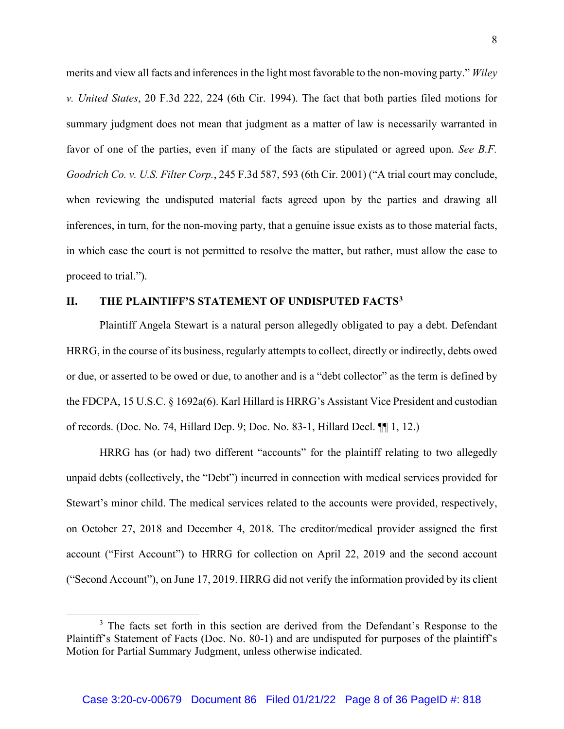merits and view all facts and inferences in the light most favorable to the non-moving party." *Wiley v. United States*, 20 F.3d 222, 224 (6th Cir. 1994). The fact that both parties filed motions for summary judgment does not mean that judgment as a matter of law is necessarily warranted in favor of one of the parties, even if many of the facts are stipulated or agreed upon. *See B.F. Goodrich Co. v. U.S. Filter Corp.*, 245 F.3d 587, 593 (6th Cir. 2001) ("A trial court may conclude, when reviewing the undisputed material facts agreed upon by the parties and drawing all inferences, in turn, for the non-moving party, that a genuine issue exists as to those material facts, in which case the court is not permitted to resolve the matter, but rather, must allow the case to proceed to trial.").

## **II. THE PLAINTIFF'S STATEMENT OF UNDISPUTED FACTS3**

Plaintiff Angela Stewart is a natural person allegedly obligated to pay a debt. Defendant HRRG, in the course of its business, regularly attempts to collect, directly or indirectly, debts owed or due, or asserted to be owed or due, to another and is a "debt collector" as the term is defined by the FDCPA, 15 U.S.C. § 1692a(6). Karl Hillard is HRRG's Assistant Vice President and custodian of records. (Doc. No. 74, Hillard Dep. 9; Doc. No. 83-1, Hillard Decl. ¶¶ 1, 12.)

HRRG has (or had) two different "accounts" for the plaintiff relating to two allegedly unpaid debts (collectively, the "Debt") incurred in connection with medical services provided for Stewart's minor child. The medical services related to the accounts were provided, respectively, on October 27, 2018 and December 4, 2018. The creditor/medical provider assigned the first account ("First Account") to HRRG for collection on April 22, 2019 and the second account ("Second Account"), on June 17, 2019. HRRG did not verify the information provided by its client

<sup>&</sup>lt;sup>3</sup> The facts set forth in this section are derived from the Defendant's Response to the Plaintiff's Statement of Facts (Doc. No. 80-1) and are undisputed for purposes of the plaintiff's Motion for Partial Summary Judgment, unless otherwise indicated.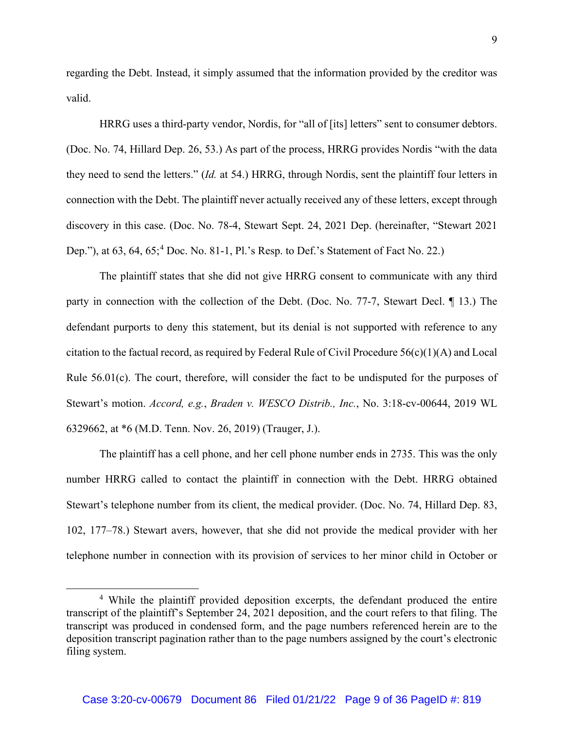regarding the Debt. Instead, it simply assumed that the information provided by the creditor was valid.

HRRG uses a third-party vendor, Nordis, for "all of [its] letters" sent to consumer debtors. (Doc. No. 74, Hillard Dep. 26, 53.) As part of the process, HRRG provides Nordis "with the data they need to send the letters." (*Id.* at 54.) HRRG, through Nordis, sent the plaintiff four letters in connection with the Debt. The plaintiff never actually received any of these letters, except through discovery in this case. (Doc. No. 78-4, Stewart Sept. 24, 2021 Dep. (hereinafter, "Stewart 2021 Dep."), at 63, 64, 65;<sup>4</sup> Doc. No. 81-1, Pl.'s Resp. to Def.'s Statement of Fact No. 22.)

The plaintiff states that she did not give HRRG consent to communicate with any third party in connection with the collection of the Debt. (Doc. No. 77-7, Stewart Decl. ¶ 13.) The defendant purports to deny this statement, but its denial is not supported with reference to any citation to the factual record, as required by Federal Rule of Civil Procedure  $56(c)(1)(A)$  and Local Rule 56.01(c). The court, therefore, will consider the fact to be undisputed for the purposes of Stewart's motion. *Accord, e.g.*, *Braden v. WESCO Distrib., Inc.*, No. 3:18-cv-00644, 2019 WL 6329662, at \*6 (M.D. Tenn. Nov. 26, 2019) (Trauger, J.).

The plaintiff has a cell phone, and her cell phone number ends in 2735. This was the only number HRRG called to contact the plaintiff in connection with the Debt. HRRG obtained Stewart's telephone number from its client, the medical provider. (Doc. No. 74, Hillard Dep. 83, 102, 177–78.) Stewart avers, however, that she did not provide the medical provider with her telephone number in connection with its provision of services to her minor child in October or

<sup>&</sup>lt;sup>4</sup> While the plaintiff provided deposition excerpts, the defendant produced the entire transcript of the plaintiff's September 24, 2021 deposition, and the court refers to that filing. The transcript was produced in condensed form, and the page numbers referenced herein are to the deposition transcript pagination rather than to the page numbers assigned by the court's electronic filing system.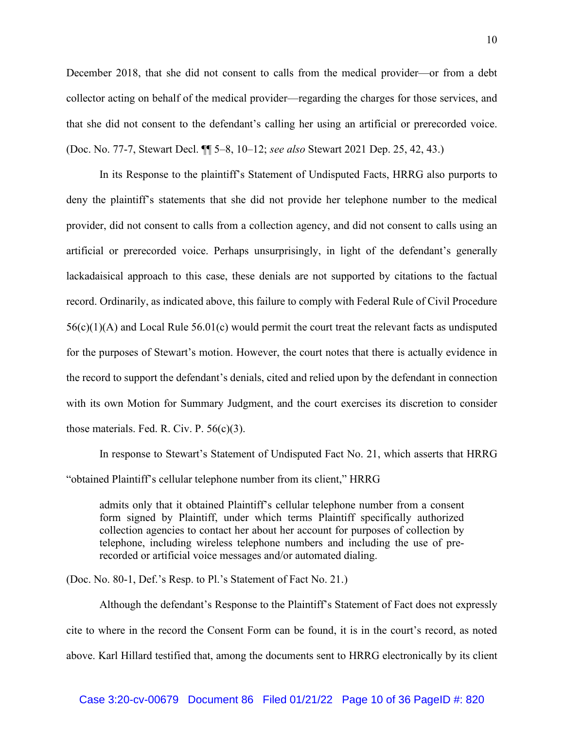December 2018, that she did not consent to calls from the medical provider—or from a debt collector acting on behalf of the medical provider—regarding the charges for those services, and that she did not consent to the defendant's calling her using an artificial or prerecorded voice. (Doc. No. 77-7, Stewart Decl. ¶¶ 5–8, 10–12; *see also* Stewart 2021 Dep. 25, 42, 43.)

In its Response to the plaintiff's Statement of Undisputed Facts, HRRG also purports to deny the plaintiff's statements that she did not provide her telephone number to the medical provider, did not consent to calls from a collection agency, and did not consent to calls using an artificial or prerecorded voice. Perhaps unsurprisingly, in light of the defendant's generally lackadaisical approach to this case, these denials are not supported by citations to the factual record. Ordinarily, as indicated above, this failure to comply with Federal Rule of Civil Procedure  $56(c)(1)(A)$  and Local Rule  $56.01(c)$  would permit the court treat the relevant facts as undisputed for the purposes of Stewart's motion. However, the court notes that there is actually evidence in the record to support the defendant's denials, cited and relied upon by the defendant in connection with its own Motion for Summary Judgment, and the court exercises its discretion to consider those materials. Fed. R. Civ. P. 56(c)(3).

In response to Stewart's Statement of Undisputed Fact No. 21, which asserts that HRRG "obtained Plaintiff's cellular telephone number from its client," HRRG

admits only that it obtained Plaintiff's cellular telephone number from a consent form signed by Plaintiff, under which terms Plaintiff specifically authorized collection agencies to contact her about her account for purposes of collection by telephone, including wireless telephone numbers and including the use of prerecorded or artificial voice messages and/or automated dialing.

(Doc. No. 80-1, Def.'s Resp. to Pl.'s Statement of Fact No. 21.)

Although the defendant's Response to the Plaintiff's Statement of Fact does not expressly cite to where in the record the Consent Form can be found, it is in the court's record, as noted above. Karl Hillard testified that, among the documents sent to HRRG electronically by its client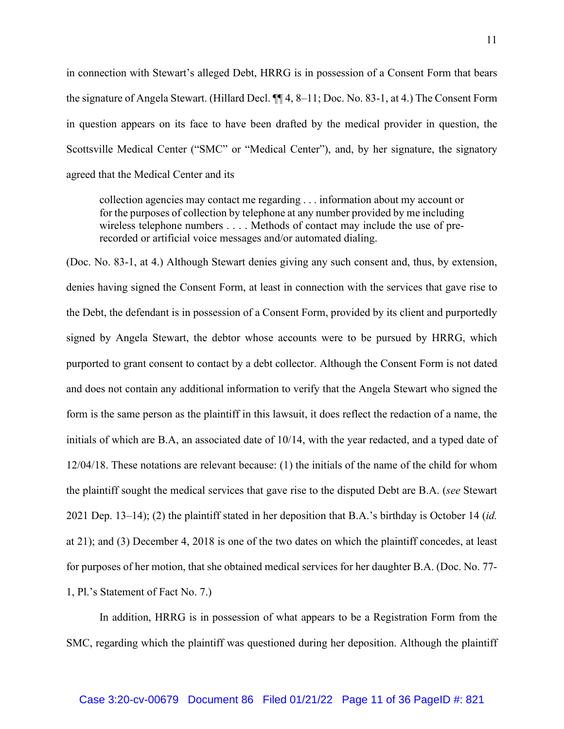in connection with Stewart's alleged Debt, HRRG is in possession of a Consent Form that bears the signature of Angela Stewart. (Hillard Decl. ¶¶ 4, 8–11; Doc. No. 83-1, at 4.) The Consent Form in question appears on its face to have been drafted by the medical provider in question, the Scottsville Medical Center ("SMC" or "Medical Center"), and, by her signature, the signatory agreed that the Medical Center and its

collection agencies may contact me regarding . . . information about my account or for the purposes of collection by telephone at any number provided by me including wireless telephone numbers . . . . Methods of contact may include the use of prerecorded or artificial voice messages and/or automated dialing.

(Doc. No. 83-1, at 4.) Although Stewart denies giving any such consent and, thus, by extension, denies having signed the Consent Form, at least in connection with the services that gave rise to the Debt, the defendant is in possession of a Consent Form, provided by its client and purportedly signed by Angela Stewart, the debtor whose accounts were to be pursued by HRRG, which purported to grant consent to contact by a debt collector. Although the Consent Form is not dated and does not contain any additional information to verify that the Angela Stewart who signed the form is the same person as the plaintiff in this lawsuit, it does reflect the redaction of a name, the initials of which are B.A, an associated date of 10/14, with the year redacted, and a typed date of 12/04/18. These notations are relevant because: (1) the initials of the name of the child for whom the plaintiff sought the medical services that gave rise to the disputed Debt are B.A. (*see* Stewart 2021 Dep. 13–14); (2) the plaintiff stated in her deposition that B.A.'s birthday is October 14 (*id.* at 21); and (3) December 4, 2018 is one of the two dates on which the plaintiff concedes, at least for purposes of her motion, that she obtained medical services for her daughter B.A. (Doc. No. 77- 1, Pl.'s Statement of Fact No. 7.)

In addition, HRRG is in possession of what appears to be a Registration Form from the SMC, regarding which the plaintiff was questioned during her deposition. Although the plaintiff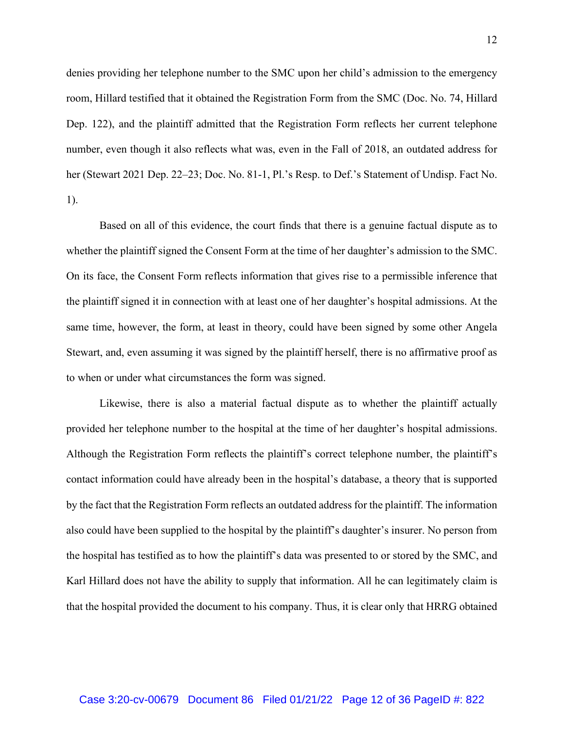denies providing her telephone number to the SMC upon her child's admission to the emergency room, Hillard testified that it obtained the Registration Form from the SMC (Doc. No. 74, Hillard Dep. 122), and the plaintiff admitted that the Registration Form reflects her current telephone number, even though it also reflects what was, even in the Fall of 2018, an outdated address for her (Stewart 2021 Dep. 22–23; Doc. No. 81-1, Pl.'s Resp. to Def.'s Statement of Undisp. Fact No. 1).

Based on all of this evidence, the court finds that there is a genuine factual dispute as to whether the plaintiff signed the Consent Form at the time of her daughter's admission to the SMC. On its face, the Consent Form reflects information that gives rise to a permissible inference that the plaintiff signed it in connection with at least one of her daughter's hospital admissions. At the same time, however, the form, at least in theory, could have been signed by some other Angela Stewart, and, even assuming it was signed by the plaintiff herself, there is no affirmative proof as to when or under what circumstances the form was signed.

Likewise, there is also a material factual dispute as to whether the plaintiff actually provided her telephone number to the hospital at the time of her daughter's hospital admissions. Although the Registration Form reflects the plaintiff's correct telephone number, the plaintiff's contact information could have already been in the hospital's database, a theory that is supported by the fact that the Registration Form reflects an outdated address for the plaintiff. The information also could have been supplied to the hospital by the plaintiff's daughter's insurer. No person from the hospital has testified as to how the plaintiff's data was presented to or stored by the SMC, and Karl Hillard does not have the ability to supply that information. All he can legitimately claim is that the hospital provided the document to his company. Thus, it is clear only that HRRG obtained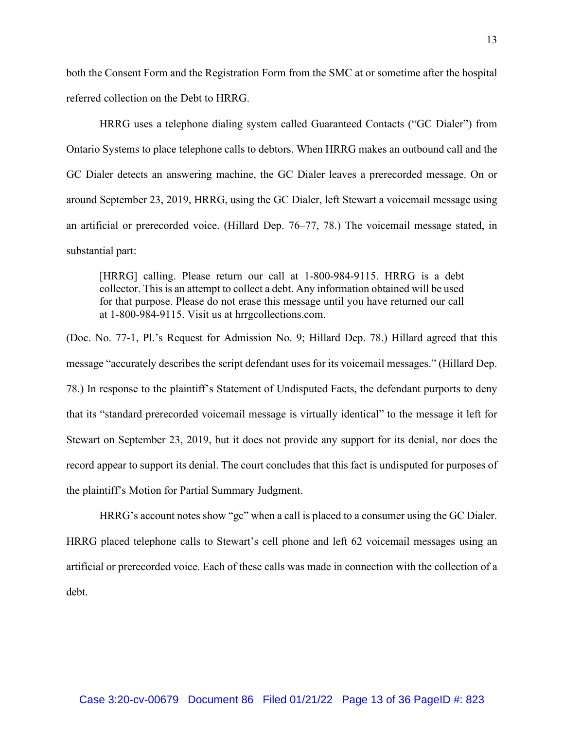both the Consent Form and the Registration Form from the SMC at or sometime after the hospital referred collection on the Debt to HRRG.

HRRG uses a telephone dialing system called Guaranteed Contacts ("GC Dialer") from Ontario Systems to place telephone calls to debtors. When HRRG makes an outbound call and the GC Dialer detects an answering machine, the GC Dialer leaves a prerecorded message. On or around September 23, 2019, HRRG, using the GC Dialer, left Stewart a voicemail message using an artificial or prerecorded voice. (Hillard Dep. 76–77, 78.) The voicemail message stated, in substantial part:

[HRRG] calling. Please return our call at 1-800-984-9115. HRRG is a debt collector. This is an attempt to collect a debt. Any information obtained will be used for that purpose. Please do not erase this message until you have returned our call at 1-800-984-9115. Visit us at hrrgcollections.com.

(Doc. No. 77-1, Pl.'s Request for Admission No. 9; Hillard Dep. 78.) Hillard agreed that this message "accurately describes the script defendant uses for its voicemail messages." (Hillard Dep. 78.) In response to the plaintiff's Statement of Undisputed Facts, the defendant purports to deny that its "standard prerecorded voicemail message is virtually identical" to the message it left for Stewart on September 23, 2019, but it does not provide any support for its denial, nor does the record appear to support its denial. The court concludes that this fact is undisputed for purposes of the plaintiff's Motion for Partial Summary Judgment.

HRRG's account notes show "gc" when a call is placed to a consumer using the GC Dialer. HRRG placed telephone calls to Stewart's cell phone and left 62 voicemail messages using an artificial or prerecorded voice. Each of these calls was made in connection with the collection of a debt.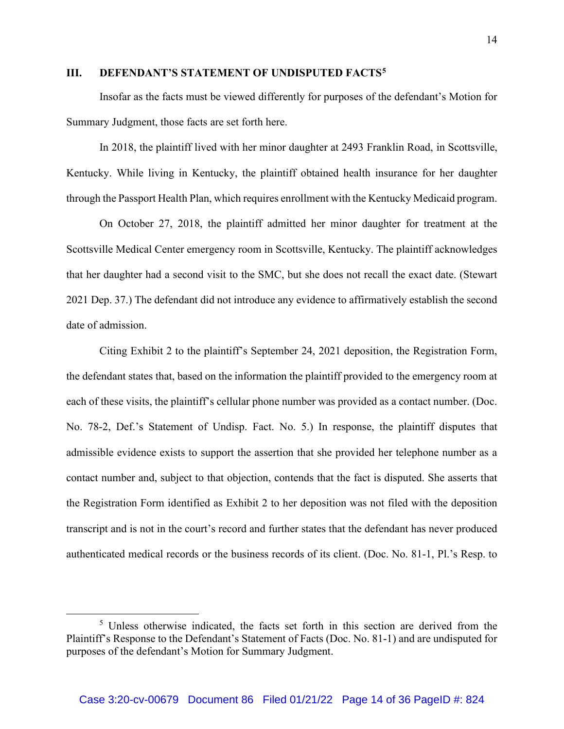## **III. DEFENDANT'S STATEMENT OF UNDISPUTED FACTS5**

Insofar as the facts must be viewed differently for purposes of the defendant's Motion for Summary Judgment, those facts are set forth here.

In 2018, the plaintiff lived with her minor daughter at 2493 Franklin Road, in Scottsville, Kentucky. While living in Kentucky, the plaintiff obtained health insurance for her daughter through the Passport Health Plan, which requires enrollment with the Kentucky Medicaid program.

On October 27, 2018, the plaintiff admitted her minor daughter for treatment at the Scottsville Medical Center emergency room in Scottsville, Kentucky. The plaintiff acknowledges that her daughter had a second visit to the SMC, but she does not recall the exact date. (Stewart 2021 Dep. 37.) The defendant did not introduce any evidence to affirmatively establish the second date of admission.

Citing Exhibit 2 to the plaintiff's September 24, 2021 deposition, the Registration Form, the defendant states that, based on the information the plaintiff provided to the emergency room at each of these visits, the plaintiff's cellular phone number was provided as a contact number. (Doc. No. 78-2, Def.'s Statement of Undisp. Fact. No. 5.) In response, the plaintiff disputes that admissible evidence exists to support the assertion that she provided her telephone number as a contact number and, subject to that objection, contends that the fact is disputed. She asserts that the Registration Form identified as Exhibit 2 to her deposition was not filed with the deposition transcript and is not in the court's record and further states that the defendant has never produced authenticated medical records or the business records of its client. (Doc. No. 81-1, Pl.'s Resp. to

<sup>&</sup>lt;sup>5</sup> Unless otherwise indicated, the facts set forth in this section are derived from the Plaintiff's Response to the Defendant's Statement of Facts (Doc. No. 81-1) and are undisputed for purposes of the defendant's Motion for Summary Judgment.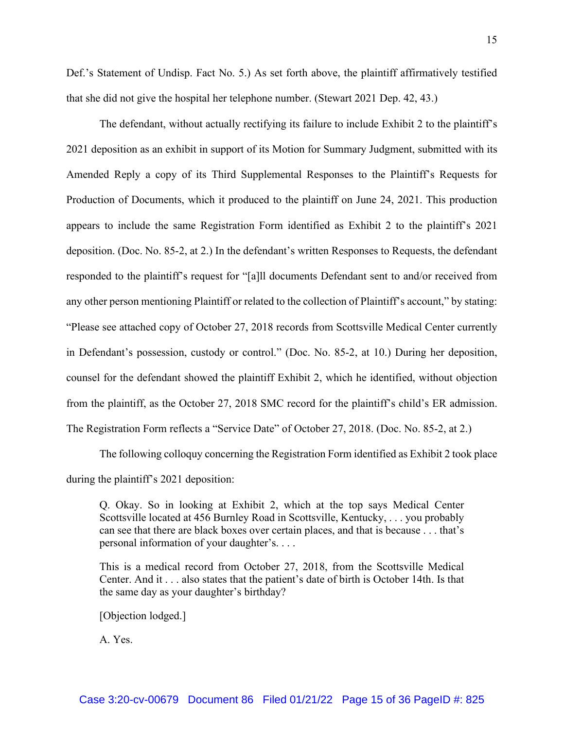Def.'s Statement of Undisp. Fact No. 5.) As set forth above, the plaintiff affirmatively testified that she did not give the hospital her telephone number. (Stewart 2021 Dep. 42, 43.)

The defendant, without actually rectifying its failure to include Exhibit 2 to the plaintiff's 2021 deposition as an exhibit in support of its Motion for Summary Judgment, submitted with its Amended Reply a copy of its Third Supplemental Responses to the Plaintiff's Requests for Production of Documents, which it produced to the plaintiff on June 24, 2021. This production appears to include the same Registration Form identified as Exhibit 2 to the plaintiff's 2021 deposition. (Doc. No. 85-2, at 2.) In the defendant's written Responses to Requests, the defendant responded to the plaintiff's request for "[a]ll documents Defendant sent to and/or received from any other person mentioning Plaintiff or related to the collection of Plaintiff's account," by stating: "Please see attached copy of October 27, 2018 records from Scottsville Medical Center currently in Defendant's possession, custody or control." (Doc. No. 85-2, at 10.) During her deposition, counsel for the defendant showed the plaintiff Exhibit 2, which he identified, without objection from the plaintiff, as the October 27, 2018 SMC record for the plaintiff's child's ER admission. The Registration Form reflects a "Service Date" of October 27, 2018. (Doc. No. 85-2, at 2.)

The following colloquy concerning the Registration Form identified as Exhibit 2 took place during the plaintiff's 2021 deposition:

Q. Okay. So in looking at Exhibit 2, which at the top says Medical Center Scottsville located at 456 Burnley Road in Scottsville, Kentucky, . . . you probably can see that there are black boxes over certain places, and that is because . . . that's personal information of your daughter's. . . .

This is a medical record from October 27, 2018, from the Scottsville Medical Center. And it . . . also states that the patient's date of birth is October 14th. Is that the same day as your daughter's birthday?

[Objection lodged.]

A. Yes.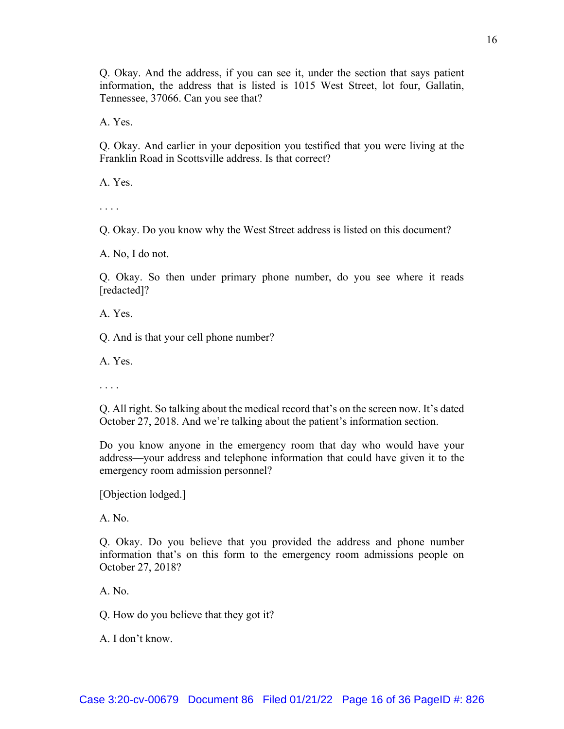Q. Okay. And the address, if you can see it, under the section that says patient information, the address that is listed is 1015 West Street, lot four, Gallatin, Tennessee, 37066. Can you see that?

A. Yes.

Q. Okay. And earlier in your deposition you testified that you were living at the Franklin Road in Scottsville address. Is that correct?

A. Yes.

. . . .

Q. Okay. Do you know why the West Street address is listed on this document?

A. No, I do not.

Q. Okay. So then under primary phone number, do you see where it reads [redacted]?

A. Yes.

Q. And is that your cell phone number?

A. Yes.

. . . .

Q. All right. So talking about the medical record that's on the screen now. It's dated October 27, 2018. And we're talking about the patient's information section.

Do you know anyone in the emergency room that day who would have your address—your address and telephone information that could have given it to the emergency room admission personnel?

[Objection lodged.]

A. No.

Q. Okay. Do you believe that you provided the address and phone number information that's on this form to the emergency room admissions people on October 27, 2018?

A. No.

Q. How do you believe that they got it?

A. I don't know.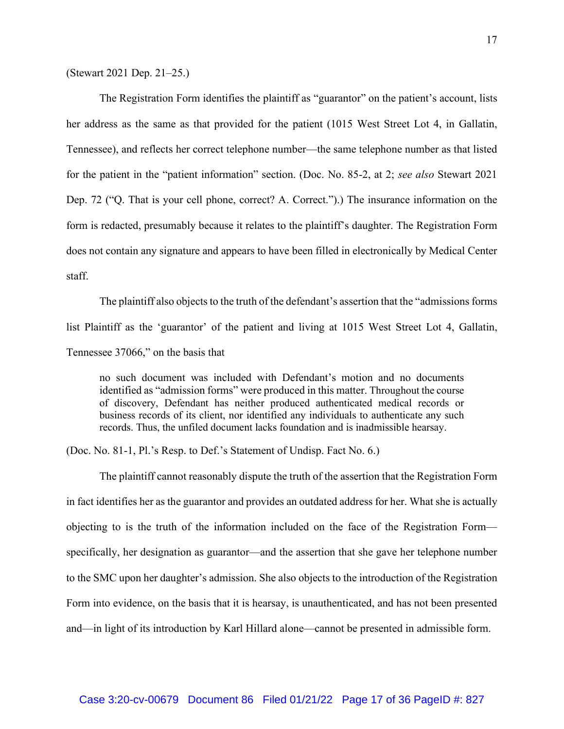(Stewart 2021 Dep. 21–25.)

The Registration Form identifies the plaintiff as "guarantor" on the patient's account, lists her address as the same as that provided for the patient (1015 West Street Lot 4, in Gallatin, Tennessee), and reflects her correct telephone number—the same telephone number as that listed for the patient in the "patient information" section. (Doc. No. 85-2, at 2; *see also* Stewart 2021 Dep. 72 ("Q. That is your cell phone, correct? A. Correct.").) The insurance information on the form is redacted, presumably because it relates to the plaintiff's daughter. The Registration Form does not contain any signature and appears to have been filled in electronically by Medical Center staff.

The plaintiff also objects to the truth of the defendant's assertion that the "admissions forms list Plaintiff as the 'guarantor' of the patient and living at 1015 West Street Lot 4, Gallatin, Tennessee 37066," on the basis that

no such document was included with Defendant's motion and no documents identified as "admission forms" were produced in this matter. Throughout the course of discovery, Defendant has neither produced authenticated medical records or business records of its client, nor identified any individuals to authenticate any such records. Thus, the unfiled document lacks foundation and is inadmissible hearsay.

(Doc. No. 81-1, Pl.'s Resp. to Def.'s Statement of Undisp. Fact No. 6.)

The plaintiff cannot reasonably dispute the truth of the assertion that the Registration Form in fact identifies her as the guarantor and provides an outdated address for her. What she is actually objecting to is the truth of the information included on the face of the Registration Form specifically, her designation as guarantor—and the assertion that she gave her telephone number to the SMC upon her daughter's admission. She also objects to the introduction of the Registration Form into evidence, on the basis that it is hearsay, is unauthenticated, and has not been presented and—in light of its introduction by Karl Hillard alone—cannot be presented in admissible form.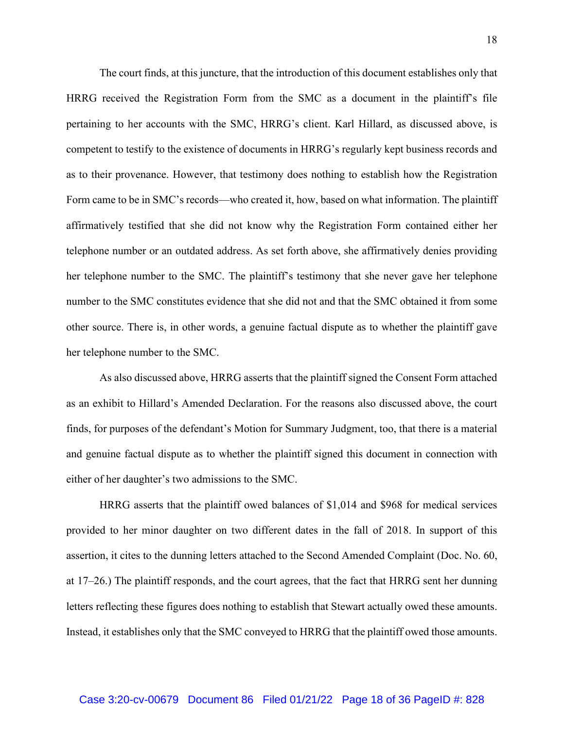The court finds, at this juncture, that the introduction of this document establishes only that HRRG received the Registration Form from the SMC as a document in the plaintiff's file pertaining to her accounts with the SMC, HRRG's client. Karl Hillard, as discussed above, is competent to testify to the existence of documents in HRRG's regularly kept business records and as to their provenance. However, that testimony does nothing to establish how the Registration Form came to be in SMC's records—who created it, how, based on what information. The plaintiff affirmatively testified that she did not know why the Registration Form contained either her telephone number or an outdated address. As set forth above, she affirmatively denies providing her telephone number to the SMC. The plaintiff's testimony that she never gave her telephone number to the SMC constitutes evidence that she did not and that the SMC obtained it from some other source. There is, in other words, a genuine factual dispute as to whether the plaintiff gave her telephone number to the SMC.

As also discussed above, HRRG asserts that the plaintiff signed the Consent Form attached as an exhibit to Hillard's Amended Declaration. For the reasons also discussed above, the court finds, for purposes of the defendant's Motion for Summary Judgment, too, that there is a material and genuine factual dispute as to whether the plaintiff signed this document in connection with either of her daughter's two admissions to the SMC.

HRRG asserts that the plaintiff owed balances of \$1,014 and \$968 for medical services provided to her minor daughter on two different dates in the fall of 2018. In support of this assertion, it cites to the dunning letters attached to the Second Amended Complaint (Doc. No. 60, at 17–26.) The plaintiff responds, and the court agrees, that the fact that HRRG sent her dunning letters reflecting these figures does nothing to establish that Stewart actually owed these amounts. Instead, it establishes only that the SMC conveyed to HRRG that the plaintiff owed those amounts.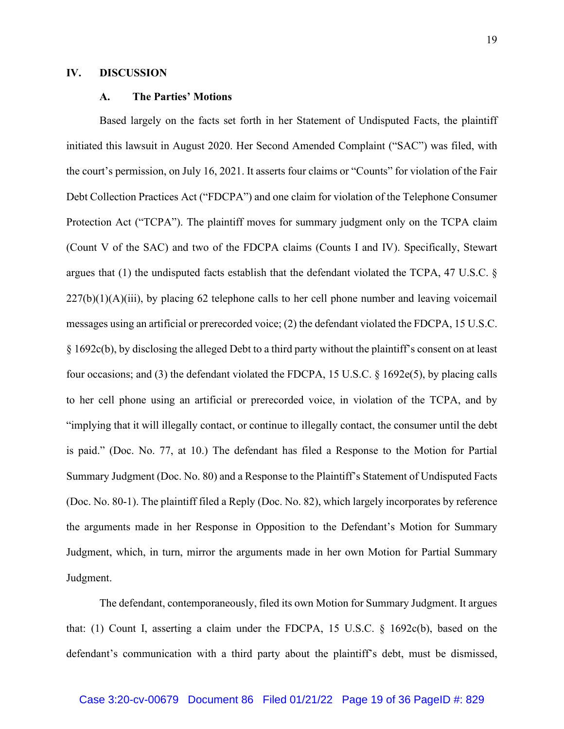## **IV. DISCUSSION**

### **A. The Parties' Motions**

Based largely on the facts set forth in her Statement of Undisputed Facts, the plaintiff initiated this lawsuit in August 2020. Her Second Amended Complaint ("SAC") was filed, with the court's permission, on July 16, 2021. It asserts four claims or "Counts" for violation of the Fair Debt Collection Practices Act ("FDCPA") and one claim for violation of the Telephone Consumer Protection Act ("TCPA"). The plaintiff moves for summary judgment only on the TCPA claim (Count V of the SAC) and two of the FDCPA claims (Counts I and IV). Specifically, Stewart argues that (1) the undisputed facts establish that the defendant violated the TCPA, 47 U.S.C. §  $227(b)(1)(A)(iii)$ , by placing 62 telephone calls to her cell phone number and leaving voicemail messages using an artificial or prerecorded voice; (2) the defendant violated the FDCPA, 15 U.S.C. § 1692c(b), by disclosing the alleged Debt to a third party without the plaintiff's consent on at least four occasions; and (3) the defendant violated the FDCPA, 15 U.S.C. § 1692e(5), by placing calls to her cell phone using an artificial or prerecorded voice, in violation of the TCPA, and by "implying that it will illegally contact, or continue to illegally contact, the consumer until the debt is paid." (Doc. No. 77, at 10.) The defendant has filed a Response to the Motion for Partial Summary Judgment (Doc. No. 80) and a Response to the Plaintiff's Statement of Undisputed Facts (Doc. No. 80-1). The plaintiff filed a Reply (Doc. No. 82), which largely incorporates by reference the arguments made in her Response in Opposition to the Defendant's Motion for Summary Judgment, which, in turn, mirror the arguments made in her own Motion for Partial Summary Judgment.

The defendant, contemporaneously, filed its own Motion for Summary Judgment. It argues that: (1) Count I, asserting a claim under the FDCPA, 15 U.S.C. § 1692c(b), based on the defendant's communication with a third party about the plaintiff's debt, must be dismissed,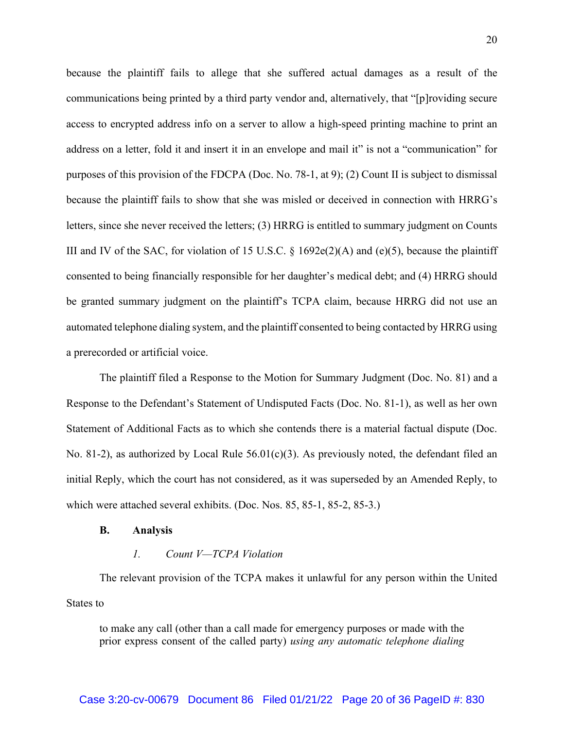because the plaintiff fails to allege that she suffered actual damages as a result of the communications being printed by a third party vendor and, alternatively, that "[p]roviding secure access to encrypted address info on a server to allow a high-speed printing machine to print an address on a letter, fold it and insert it in an envelope and mail it" is not a "communication" for purposes of this provision of the FDCPA (Doc. No. 78-1, at 9); (2) Count II is subject to dismissal because the plaintiff fails to show that she was misled or deceived in connection with HRRG's letters, since she never received the letters; (3) HRRG is entitled to summary judgment on Counts III and IV of the SAC, for violation of 15 U.S.C.  $\S$  1692e(2)(A) and (e)(5), because the plaintiff consented to being financially responsible for her daughter's medical debt; and (4) HRRG should be granted summary judgment on the plaintiff's TCPA claim, because HRRG did not use an automated telephone dialing system, and the plaintiff consented to being contacted by HRRG using a prerecorded or artificial voice.

The plaintiff filed a Response to the Motion for Summary Judgment (Doc. No. 81) and a Response to the Defendant's Statement of Undisputed Facts (Doc. No. 81-1), as well as her own Statement of Additional Facts as to which she contends there is a material factual dispute (Doc. No. 81-2), as authorized by Local Rule  $56.01(c)(3)$ . As previously noted, the defendant filed an initial Reply, which the court has not considered, as it was superseded by an Amended Reply, to which were attached several exhibits. (Doc. Nos. 85, 85-1, 85-2, 85-3.)

#### **B. Analysis**

## *1. Count V—TCPA Violation*

The relevant provision of the TCPA makes it unlawful for any person within the United States to

to make any call (other than a call made for emergency purposes or made with the prior express consent of the called party) *using any automatic telephone dialing*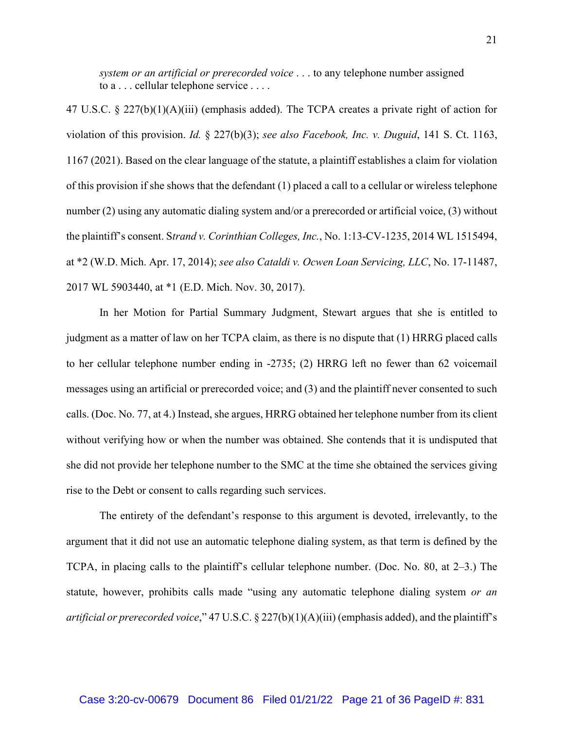*system or an artificial or prerecorded voice* . . . to any telephone number assigned to a . . . cellular telephone service . . . .

47 U.S.C. § 227(b)(1)(A)(iii) (emphasis added). The TCPA creates a private right of action for violation of this provision. *Id.* § 227(b)(3); *see also Facebook, Inc. v. Duguid*, 141 S. Ct. 1163, 1167 (2021). Based on the clear language of the statute, a plaintiff establishes a claim for violation of this provision if she shows that the defendant (1) placed a call to a cellular or wireless telephone number (2) using any automatic dialing system and/or a prerecorded or artificial voice, (3) without the plaintiff's consent. S*trand v. Corinthian Colleges, Inc.*, No. 1:13-CV-1235, 2014 WL 1515494, at \*2 (W.D. Mich. Apr. 17, 2014); *see also Cataldi v. Ocwen Loan Servicing, LLC*, No. 17-11487, 2017 WL 5903440, at \*1 (E.D. Mich. Nov. 30, 2017).

In her Motion for Partial Summary Judgment, Stewart argues that she is entitled to judgment as a matter of law on her TCPA claim, as there is no dispute that (1) HRRG placed calls to her cellular telephone number ending in -2735; (2) HRRG left no fewer than 62 voicemail messages using an artificial or prerecorded voice; and (3) and the plaintiff never consented to such calls. (Doc. No. 77, at 4.) Instead, she argues, HRRG obtained her telephone number from its client without verifying how or when the number was obtained. She contends that it is undisputed that she did not provide her telephone number to the SMC at the time she obtained the services giving rise to the Debt or consent to calls regarding such services.

The entirety of the defendant's response to this argument is devoted, irrelevantly, to the argument that it did not use an automatic telephone dialing system, as that term is defined by the TCPA, in placing calls to the plaintiff's cellular telephone number. (Doc. No. 80, at 2–3.) The statute, however, prohibits calls made "using any automatic telephone dialing system *or an artificial or prerecorded voice*," 47 U.S.C. § 227(b)(1)(A)(iii) (emphasis added), and the plaintiff's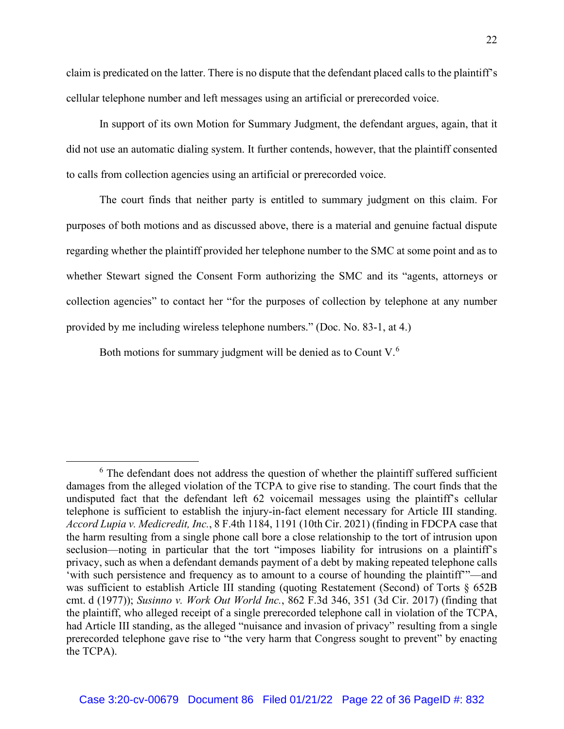claim is predicated on the latter. There is no dispute that the defendant placed calls to the plaintiff's cellular telephone number and left messages using an artificial or prerecorded voice.

In support of its own Motion for Summary Judgment, the defendant argues, again, that it did not use an automatic dialing system. It further contends, however, that the plaintiff consented to calls from collection agencies using an artificial or prerecorded voice.

The court finds that neither party is entitled to summary judgment on this claim. For purposes of both motions and as discussed above, there is a material and genuine factual dispute regarding whether the plaintiff provided her telephone number to the SMC at some point and as to whether Stewart signed the Consent Form authorizing the SMC and its "agents, attorneys or collection agencies" to contact her "for the purposes of collection by telephone at any number provided by me including wireless telephone numbers." (Doc. No. 83-1, at 4.)

Both motions for summary judgment will be denied as to Count V.<sup>6</sup>

 $6$  The defendant does not address the question of whether the plaintiff suffered sufficient damages from the alleged violation of the TCPA to give rise to standing. The court finds that the undisputed fact that the defendant left 62 voicemail messages using the plaintiff's cellular telephone is sufficient to establish the injury-in-fact element necessary for Article III standing. *Accord Lupia v. Medicredit, Inc.*, 8 F.4th 1184, 1191 (10th Cir. 2021) (finding in FDCPA case that the harm resulting from a single phone call bore a close relationship to the tort of intrusion upon seclusion—noting in particular that the tort "imposes liability for intrusions on a plaintiff's privacy, such as when a defendant demands payment of a debt by making repeated telephone calls 'with such persistence and frequency as to amount to a course of hounding the plaintiff'"—and was sufficient to establish Article III standing (quoting Restatement (Second) of Torts § 652B cmt. d (1977)); *Susinno v. Work Out World Inc.*, 862 F.3d 346, 351 (3d Cir. 2017) (finding that the plaintiff, who alleged receipt of a single prerecorded telephone call in violation of the TCPA, had Article III standing, as the alleged "nuisance and invasion of privacy" resulting from a single prerecorded telephone gave rise to "the very harm that Congress sought to prevent" by enacting the TCPA).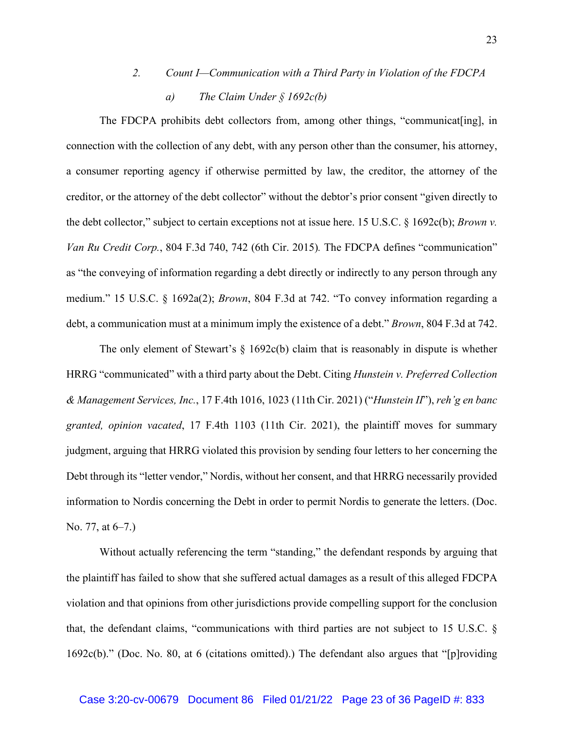# *2. Count I—Communication with a Third Party in Violation of the FDCPA a) The Claim Under § 1692c(b)*

The FDCPA prohibits debt collectors from, among other things, "communicat[ing], in connection with the collection of any debt, with any person other than the consumer, his attorney, a consumer reporting agency if otherwise permitted by law, the creditor, the attorney of the creditor, or the attorney of the debt collector" without the debtor's prior consent "given directly to the debt collector," subject to certain exceptions not at issue here. 15 U.S.C. § 1692c(b); *Brown v. Van Ru Credit Corp.*, 804 F.3d 740, 742 (6th Cir. 2015)*.* The FDCPA defines "communication" as "the conveying of information regarding a debt directly or indirectly to any person through any medium." 15 U.S.C. § 1692a(2); *Brown*, 804 F.3d at 742. "To convey information regarding a debt, a communication must at a minimum imply the existence of a debt." *Brown*, 804 F.3d at 742.

The only element of Stewart's  $\S$  1692c(b) claim that is reasonably in dispute is whether HRRG "communicated" with a third party about the Debt. Citing *Hunstein v. Preferred Collection & Management Services, Inc.*, 17 F.4th 1016, 1023 (11th Cir. 2021) ("*Hunstein II*"), *reh'g en banc granted, opinion vacated*, 17 F.4th 1103 (11th Cir. 2021), the plaintiff moves for summary judgment, arguing that HRRG violated this provision by sending four letters to her concerning the Debt through its "letter vendor," Nordis, without her consent, and that HRRG necessarily provided information to Nordis concerning the Debt in order to permit Nordis to generate the letters. (Doc. No. 77, at 6–7.)

Without actually referencing the term "standing," the defendant responds by arguing that the plaintiff has failed to show that she suffered actual damages as a result of this alleged FDCPA violation and that opinions from other jurisdictions provide compelling support for the conclusion that, the defendant claims, "communications with third parties are not subject to 15 U.S.C. § 1692c(b)." (Doc. No. 80, at 6 (citations omitted).) The defendant also argues that "[p]roviding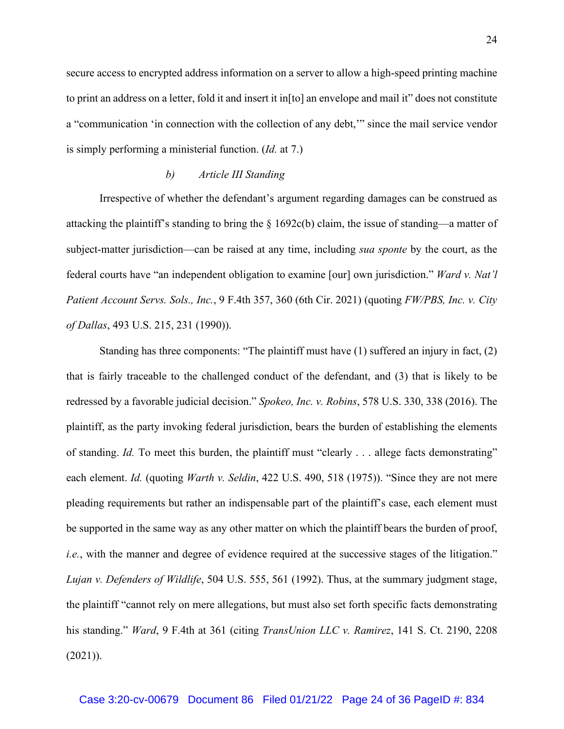secure access to encrypted address information on a server to allow a high-speed printing machine to print an address on a letter, fold it and insert it in[to] an envelope and mail it" does not constitute a "communication 'in connection with the collection of any debt,'" since the mail service vendor is simply performing a ministerial function. (*Id.* at 7.)

#### *b) Article III Standing*

Irrespective of whether the defendant's argument regarding damages can be construed as attacking the plaintiff's standing to bring the § 1692c(b) claim, the issue of standing—a matter of subject-matter jurisdiction—can be raised at any time, including *sua sponte* by the court, as the federal courts have "an independent obligation to examine [our] own jurisdiction." *Ward v. Nat'l Patient Account Servs. Sols., Inc.*, 9 F.4th 357, 360 (6th Cir. 2021) (quoting *FW/PBS, Inc. v. City of Dallas*, 493 U.S. 215, 231 (1990)).

Standing has three components: "The plaintiff must have (1) suffered an injury in fact, (2) that is fairly traceable to the challenged conduct of the defendant, and (3) that is likely to be redressed by a favorable judicial decision." *Spokeo, Inc. v. Robins*, 578 U.S. 330, 338 (2016). The plaintiff, as the party invoking federal jurisdiction, bears the burden of establishing the elements of standing. *Id.* To meet this burden, the plaintiff must "clearly . . . allege facts demonstrating" each element. *Id.* (quoting *Warth v. Seldin*, 422 U.S. 490, 518 (1975)). "Since they are not mere pleading requirements but rather an indispensable part of the plaintiff's case, each element must be supported in the same way as any other matter on which the plaintiff bears the burden of proof, *i.e.*, with the manner and degree of evidence required at the successive stages of the litigation." *Lujan v. Defenders of Wildlife*, 504 U.S. 555, 561 (1992). Thus, at the summary judgment stage, the plaintiff "cannot rely on mere allegations, but must also set forth specific facts demonstrating his standing." *Ward*, 9 F.4th at 361 (citing *TransUnion LLC v. Ramirez*, 141 S. Ct. 2190, 2208  $(2021)$ ).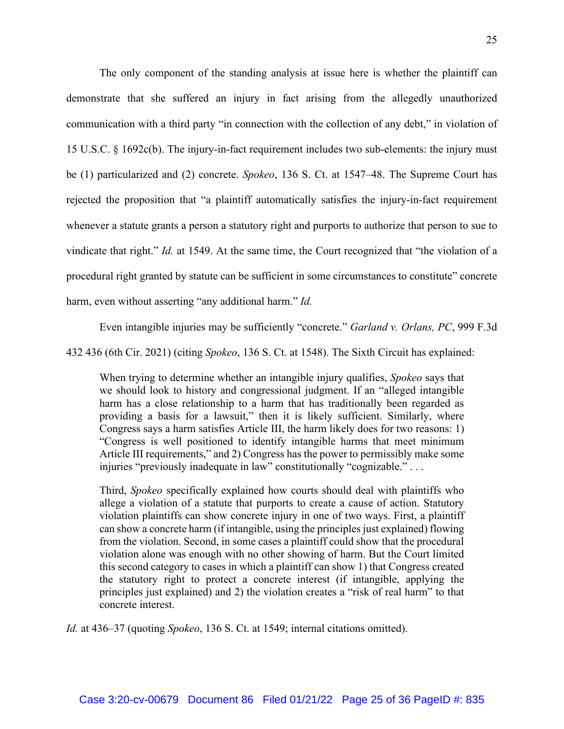The only component of the standing analysis at issue here is whether the plaintiff can demonstrate that she suffered an injury in fact arising from the allegedly unauthorized communication with a third party "in connection with the collection of any debt," in violation of 15 U.S.C. § 1692c(b). The injury-in-fact requirement includes two sub-elements: the injury must be (1) particularized and (2) concrete. *Spokeo*, 136 S. Ct. at 1547–48. The Supreme Court has rejected the proposition that "a plaintiff automatically satisfies the injury-in-fact requirement whenever a statute grants a person a statutory right and purports to authorize that person to sue to vindicate that right." *Id.* at 1549. At the same time, the Court recognized that "the violation of a procedural right granted by statute can be sufficient in some circumstances to constitute" concrete harm, even without asserting "any additional harm." *Id.*

Even intangible injuries may be sufficiently "concrete." *Garland v. Orlans, PC*, 999 F.3d

432 436 (6th Cir. 2021) (citing *Spokeo*, 136 S. Ct. at 1548). The Sixth Circuit has explained:

When trying to determine whether an intangible injury qualifies, *Spokeo* says that we should look to history and congressional judgment. If an "alleged intangible harm has a close relationship to a harm that has traditionally been regarded as providing a basis for a lawsuit," then it is likely sufficient. Similarly, where Congress says a harm satisfies Article III, the harm likely does for two reasons: 1) "Congress is well positioned to identify intangible harms that meet minimum Article III requirements," and 2) Congress has the power to permissibly make some injuries "previously inadequate in law" constitutionally "cognizable." . . .

Third, *Spokeo* specifically explained how courts should deal with plaintiffs who allege a violation of a statute that purports to create a cause of action. Statutory violation plaintiffs can show concrete injury in one of two ways. First, a plaintiff can show a concrete harm (if intangible, using the principles just explained) flowing from the violation. Second, in some cases a plaintiff could show that the procedural violation alone was enough with no other showing of harm. But the Court limited this second category to cases in which a plaintiff can show 1) that Congress created the statutory right to protect a concrete interest (if intangible, applying the principles just explained) and 2) the violation creates a "risk of real harm" to that concrete interest.

*Id.* at 436–37 (quoting *Spokeo*, 136 S. Ct. at 1549; internal citations omitted).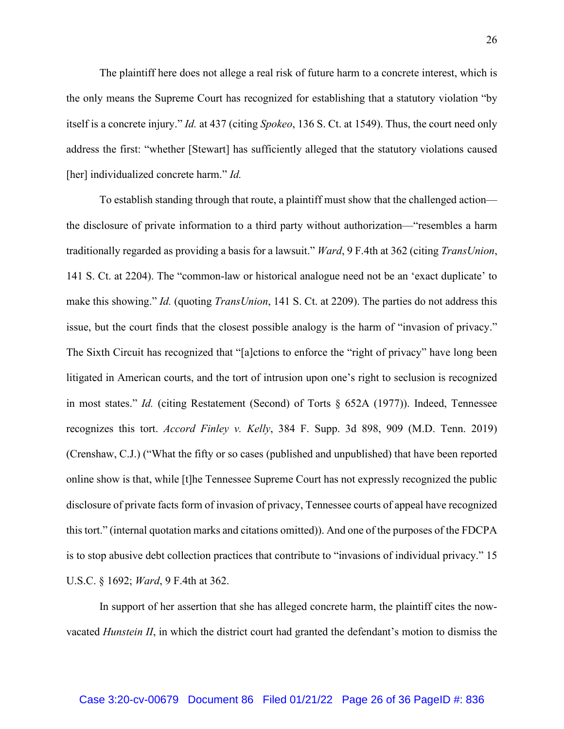The plaintiff here does not allege a real risk of future harm to a concrete interest, which is the only means the Supreme Court has recognized for establishing that a statutory violation "by itself is a concrete injury." *Id.* at 437 (citing *Spokeo*, 136 S. Ct. at 1549). Thus, the court need only address the first: "whether [Stewart] has sufficiently alleged that the statutory violations caused [her] individualized concrete harm." *Id.* 

To establish standing through that route, a plaintiff must show that the challenged action the disclosure of private information to a third party without authorization—"resembles a harm traditionally regarded as providing a basis for a lawsuit." *Ward*, 9 F.4th at 362 (citing *TransUnion*, 141 S. Ct. at 2204). The "common-law or historical analogue need not be an 'exact duplicate' to make this showing." *Id.* (quoting *TransUnion*, 141 S. Ct. at 2209). The parties do not address this issue, but the court finds that the closest possible analogy is the harm of "invasion of privacy." The Sixth Circuit has recognized that "[a]ctions to enforce the "right of privacy" have long been litigated in American courts, and the tort of intrusion upon one's right to seclusion is recognized in most states." *Id.* (citing Restatement (Second) of Torts § 652A (1977)). Indeed, Tennessee recognizes this tort. *Accord Finley v. Kelly*, 384 F. Supp. 3d 898, 909 (M.D. Tenn. 2019) (Crenshaw, C.J.) ("What the fifty or so cases (published and unpublished) that have been reported online show is that, while [t]he Tennessee Supreme Court has not expressly recognized the public disclosure of private facts form of invasion of privacy, Tennessee courts of appeal have recognized this tort." (internal quotation marks and citations omitted)). And one of the purposes of the FDCPA is to stop abusive debt collection practices that contribute to "invasions of individual privacy." 15 U.S.C. § 1692; *Ward*, 9 F.4th at 362.

In support of her assertion that she has alleged concrete harm, the plaintiff cites the nowvacated *Hunstein II*, in which the district court had granted the defendant's motion to dismiss the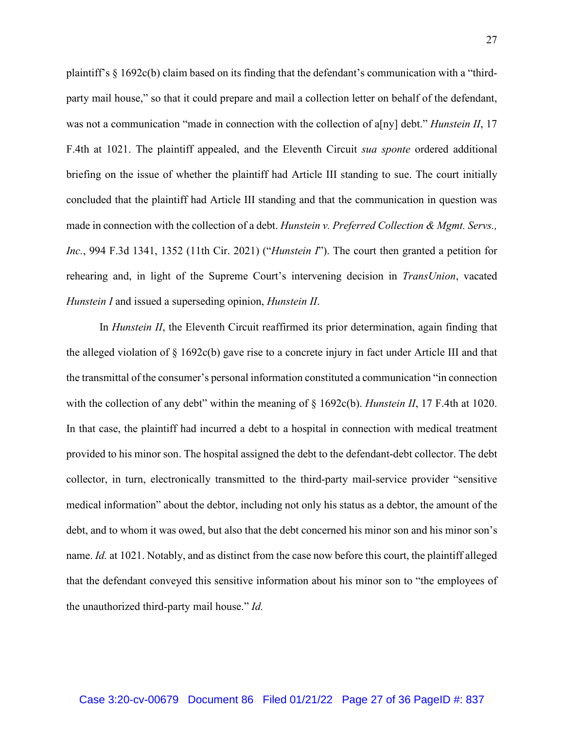plaintiff's § 1692c(b) claim based on its finding that the defendant's communication with a "thirdparty mail house," so that it could prepare and mail a collection letter on behalf of the defendant, was not a communication "made in connection with the collection of a[ny] debt." *Hunstein II*, 17 F.4th at 1021. The plaintiff appealed, and the Eleventh Circuit *sua sponte* ordered additional briefing on the issue of whether the plaintiff had Article III standing to sue. The court initially concluded that the plaintiff had Article III standing and that the communication in question was made in connection with the collection of a debt. *Hunstein v. Preferred Collection & Mgmt. Servs., Inc.*, 994 F.3d 1341, 1352 (11th Cir. 2021) ("*Hunstein I*"). The court then granted a petition for rehearing and, in light of the Supreme Court's intervening decision in *TransUnion*, vacated *Hunstein I* and issued a superseding opinion, *Hunstein II*.

In *Hunstein II*, the Eleventh Circuit reaffirmed its prior determination, again finding that the alleged violation of § 1692c(b) gave rise to a concrete injury in fact under Article III and that the transmittal of the consumer's personal information constituted a communication "in connection with the collection of any debt" within the meaning of  $\S$  1692c(b). *Hunstein II*, 17 F.4th at 1020. In that case, the plaintiff had incurred a debt to a hospital in connection with medical treatment provided to his minor son. The hospital assigned the debt to the defendant-debt collector. The debt collector, in turn, electronically transmitted to the third-party mail-service provider "sensitive medical information" about the debtor, including not only his status as a debtor, the amount of the debt, and to whom it was owed, but also that the debt concerned his minor son and his minor son's name. *Id.* at 1021. Notably, and as distinct from the case now before this court, the plaintiff alleged that the defendant conveyed this sensitive information about his minor son to "the employees of the unauthorized third-party mail house." *Id.*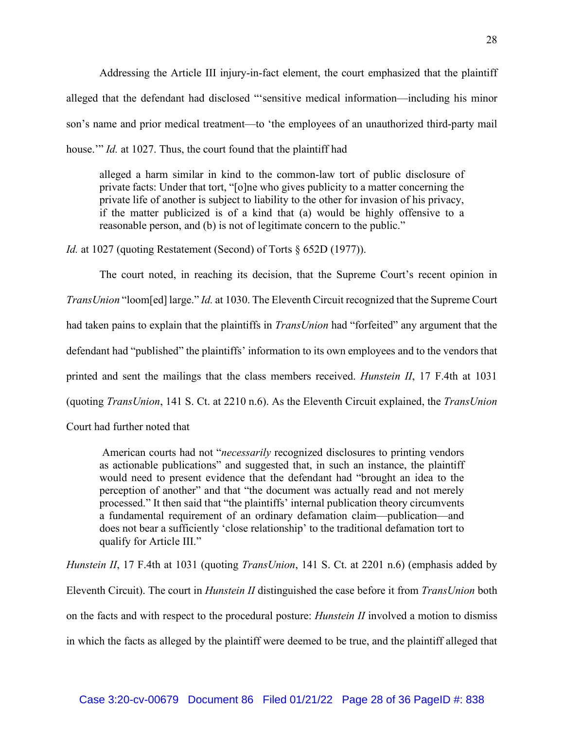Addressing the Article III injury-in-fact element, the court emphasized that the plaintiff alleged that the defendant had disclosed "'sensitive medical information—including his minor son's name and prior medical treatment—to 'the employees of an unauthorized third-party mail house.'" *Id.* at 1027. Thus, the court found that the plaintiff had

alleged a harm similar in kind to the common-law tort of public disclosure of private facts: Under that tort, "[o]ne who gives publicity to a matter concerning the private life of another is subject to liability to the other for invasion of his privacy, if the matter publicized is of a kind that (a) would be highly offensive to a reasonable person, and (b) is not of legitimate concern to the public."

*Id.* at 1027 (quoting Restatement (Second) of Torts  $\S$  652D (1977)).

The court noted, in reaching its decision, that the Supreme Court's recent opinion in *TransUnion* "loom[ed] large." *Id.* at 1030. The Eleventh Circuit recognized that the Supreme Court had taken pains to explain that the plaintiffs in *TransUnion* had "forfeited" any argument that the defendant had "published" the plaintiffs' information to its own employees and to the vendors that printed and sent the mailings that the class members received. *Hunstein II*, 17 F.4th at 1031 (quoting *TransUnion*, 141 S. Ct. at 2210 n.6). As the Eleventh Circuit explained, the *TransUnion* 

Court had further noted that

American courts had not "*necessarily* recognized disclosures to printing vendors as actionable publications" and suggested that, in such an instance, the plaintiff would need to present evidence that the defendant had "brought an idea to the perception of another" and that "the document was actually read and not merely processed." It then said that "the plaintiffs' internal publication theory circumvents a fundamental requirement of an ordinary defamation claim—publication—and does not bear a sufficiently 'close relationship' to the traditional defamation tort to qualify for Article III."

*Hunstein II*, 17 F.4th at 1031 (quoting *TransUnion*, 141 S. Ct. at 2201 n.6) (emphasis added by Eleventh Circuit). The court in *Hunstein II* distinguished the case before it from *TransUnion* both on the facts and with respect to the procedural posture: *Hunstein II* involved a motion to dismiss in which the facts as alleged by the plaintiff were deemed to be true, and the plaintiff alleged that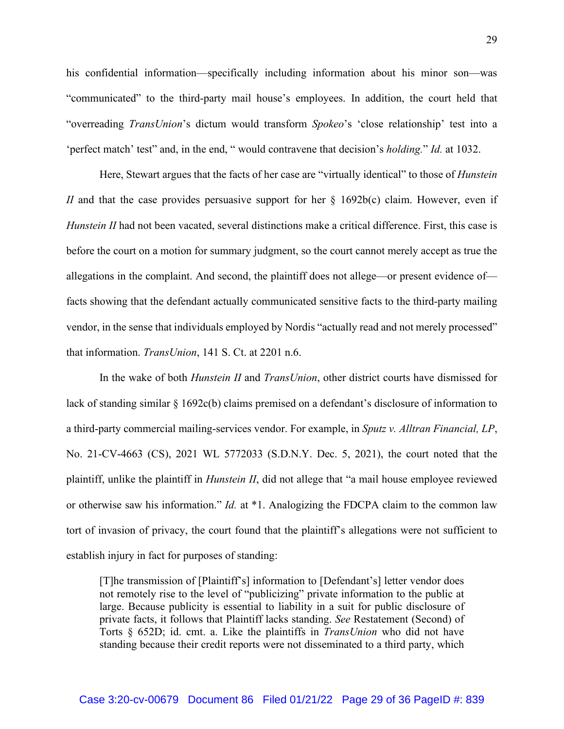his confidential information—specifically including information about his minor son—was "communicated" to the third-party mail house's employees. In addition, the court held that "overreading *TransUnion*'s dictum would transform *Spokeo*'s 'close relationship' test into a 'perfect match' test" and, in the end, " would contravene that decision's *holding.*" *Id.* at 1032.

Here, Stewart argues that the facts of her case are "virtually identical" to those of *Hunstein II* and that the case provides persuasive support for her § 1692b(c) claim. However, even if *Hunstein II* had not been vacated, several distinctions make a critical difference. First, this case is before the court on a motion for summary judgment, so the court cannot merely accept as true the allegations in the complaint. And second, the plaintiff does not allege—or present evidence of facts showing that the defendant actually communicated sensitive facts to the third-party mailing vendor, in the sense that individuals employed by Nordis "actually read and not merely processed" that information. *TransUnion*, 141 S. Ct. at 2201 n.6.

In the wake of both *Hunstein II* and *TransUnion*, other district courts have dismissed for lack of standing similar § 1692c(b) claims premised on a defendant's disclosure of information to a third-party commercial mailing-services vendor. For example, in *Sputz v. Alltran Financial, LP*, No. 21-CV-4663 (CS), 2021 WL 5772033 (S.D.N.Y. Dec. 5, 2021), the court noted that the plaintiff, unlike the plaintiff in *Hunstein II*, did not allege that "a mail house employee reviewed or otherwise saw his information." *Id.* at \*1. Analogizing the FDCPA claim to the common law tort of invasion of privacy, the court found that the plaintiff's allegations were not sufficient to establish injury in fact for purposes of standing:

[T]he transmission of [Plaintiff's] information to [Defendant's] letter vendor does not remotely rise to the level of "publicizing" private information to the public at large. Because publicity is essential to liability in a suit for public disclosure of private facts, it follows that Plaintiff lacks standing. *See* Restatement (Second) of Torts § 652D; id. cmt. a. Like the plaintiffs in *TransUnion* who did not have standing because their credit reports were not disseminated to a third party, which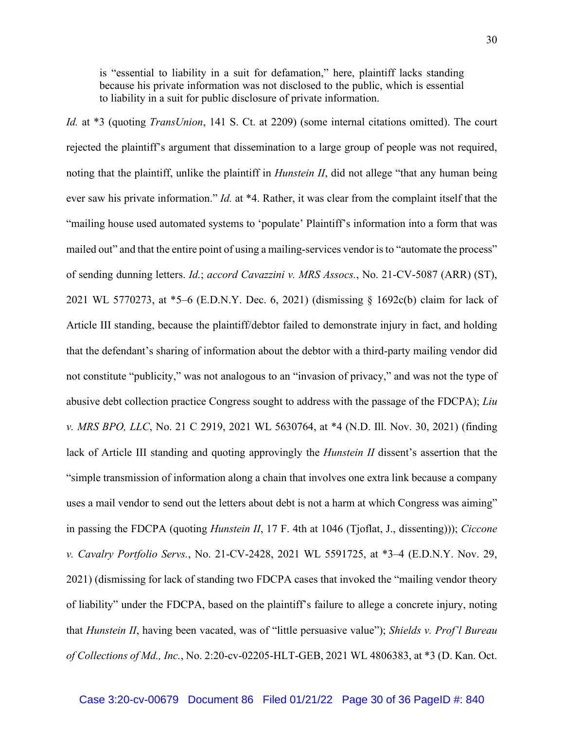is "essential to liability in a suit for defamation," here, plaintiff lacks standing because his private information was not disclosed to the public, which is essential to liability in a suit for public disclosure of private information.

*Id.* at \*3 (quoting *TransUnion*, 141 S. Ct. at 2209) (some internal citations omitted). The court rejected the plaintiff's argument that dissemination to a large group of people was not required, noting that the plaintiff, unlike the plaintiff in *Hunstein II*, did not allege "that any human being ever saw his private information." *Id.* at \*4. Rather, it was clear from the complaint itself that the "mailing house used automated systems to 'populate' Plaintiff's information into a form that was mailed out" and that the entire point of using a mailing-services vendor is to "automate the process" of sending dunning letters. *Id.*; *accord Cavazzini v. MRS Assocs.*, No. 21-CV-5087 (ARR) (ST), 2021 WL 5770273, at \*5–6 (E.D.N.Y. Dec. 6, 2021) (dismissing § 1692c(b) claim for lack of Article III standing, because the plaintiff/debtor failed to demonstrate injury in fact, and holding that the defendant's sharing of information about the debtor with a third-party mailing vendor did not constitute "publicity," was not analogous to an "invasion of privacy," and was not the type of abusive debt collection practice Congress sought to address with the passage of the FDCPA); *Liu v. MRS BPO, LLC*, No. 21 C 2919, 2021 WL 5630764, at \*4 (N.D. Ill. Nov. 30, 2021) (finding lack of Article III standing and quoting approvingly the *Hunstein II* dissent's assertion that the "simple transmission of information along a chain that involves one extra link because a company uses a mail vendor to send out the letters about debt is not a harm at which Congress was aiming" in passing the FDCPA (quoting *Hunstein II*, 17 F. 4th at 1046 (Tjoflat, J., dissenting))); *Ciccone v. Cavalry Portfolio Servs.*, No. 21-CV-2428, 2021 WL 5591725, at \*3–4 (E.D.N.Y. Nov. 29, 2021) (dismissing for lack of standing two FDCPA cases that invoked the "mailing vendor theory of liability" under the FDCPA, based on the plaintiff's failure to allege a concrete injury, noting that *Hunstein II*, having been vacated, was of "little persuasive value"); *Shields v. Prof'l Bureau of Collections of Md., Inc.*, No. 2:20-cv-02205-HLT-GEB, 2021 WL 4806383, at \*3 (D. Kan. Oct.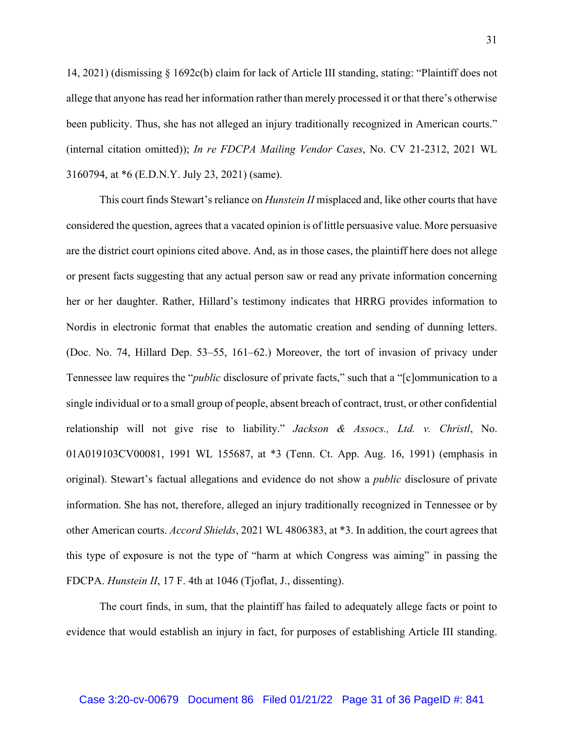14, 2021) (dismissing § 1692c(b) claim for lack of Article III standing, stating: "Plaintiff does not allege that anyone has read her information rather than merely processed it or that there's otherwise been publicity. Thus, she has not alleged an injury traditionally recognized in American courts." (internal citation omitted)); *In re FDCPA Mailing Vendor Cases*, No. CV 21-2312, 2021 WL 3160794, at \*6 (E.D.N.Y. July 23, 2021) (same).

This court finds Stewart's reliance on *Hunstein II* misplaced and, like other courts that have considered the question, agrees that a vacated opinion is of little persuasive value. More persuasive are the district court opinions cited above. And, as in those cases, the plaintiff here does not allege or present facts suggesting that any actual person saw or read any private information concerning her or her daughter. Rather, Hillard's testimony indicates that HRRG provides information to Nordis in electronic format that enables the automatic creation and sending of dunning letters. (Doc. No. 74, Hillard Dep. 53–55, 161–62.) Moreover, the tort of invasion of privacy under Tennessee law requires the "*public* disclosure of private facts," such that a "[c]ommunication to a single individual or to a small group of people, absent breach of contract, trust, or other confidential relationship will not give rise to liability." *Jackson & Assocs., Ltd. v. Christl*, No. 01A019103CV00081, 1991 WL 155687, at \*3 (Tenn. Ct. App. Aug. 16, 1991) (emphasis in original). Stewart's factual allegations and evidence do not show a *public* disclosure of private information. She has not, therefore, alleged an injury traditionally recognized in Tennessee or by other American courts. *Accord Shields*, 2021 WL 4806383, at \*3. In addition, the court agrees that this type of exposure is not the type of "harm at which Congress was aiming" in passing the FDCPA. *Hunstein II*, 17 F. 4th at 1046 (Tjoflat, J., dissenting).

The court finds, in sum, that the plaintiff has failed to adequately allege facts or point to evidence that would establish an injury in fact, for purposes of establishing Article III standing.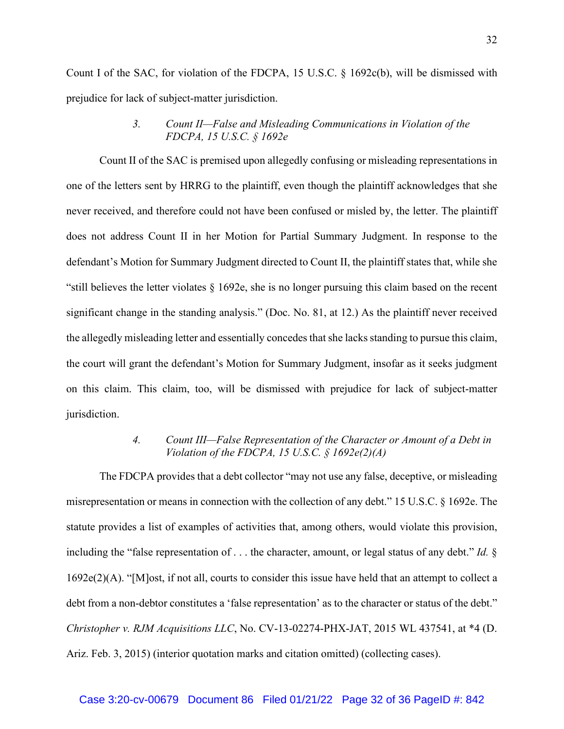Count I of the SAC, for violation of the FDCPA, 15 U.S.C. § 1692c(b), will be dismissed with prejudice for lack of subject-matter jurisdiction.

# *3. Count II—False and Misleading Communications in Violation of the FDCPA, 15 U.S.C. § 1692e*

Count II of the SAC is premised upon allegedly confusing or misleading representations in one of the letters sent by HRRG to the plaintiff, even though the plaintiff acknowledges that she never received, and therefore could not have been confused or misled by, the letter. The plaintiff does not address Count II in her Motion for Partial Summary Judgment. In response to the defendant's Motion for Summary Judgment directed to Count II, the plaintiff states that, while she "still believes the letter violates  $\S$  1692e, she is no longer pursuing this claim based on the recent significant change in the standing analysis." (Doc. No. 81, at 12.) As the plaintiff never received the allegedly misleading letter and essentially concedes that she lacks standing to pursue this claim, the court will grant the defendant's Motion for Summary Judgment, insofar as it seeks judgment on this claim. This claim, too, will be dismissed with prejudice for lack of subject-matter jurisdiction.

# *4. Count III—False Representation of the Character or Amount of a Debt in Violation of the FDCPA, 15 U.S.C. § 1692e(2)(A)*

The FDCPA provides that a debt collector "may not use any false, deceptive, or misleading misrepresentation or means in connection with the collection of any debt." 15 U.S.C. § 1692e. The statute provides a list of examples of activities that, among others, would violate this provision, including the "false representation of . . . the character, amount, or legal status of any debt." *Id.* § 1692e(2)(A). "[M]ost, if not all, courts to consider this issue have held that an attempt to collect a debt from a non-debtor constitutes a 'false representation' as to the character or status of the debt." *Christopher v. RJM Acquisitions LLC*, No. CV-13-02274-PHX-JAT, 2015 WL 437541, at \*4 (D. Ariz. Feb. 3, 2015) (interior quotation marks and citation omitted) (collecting cases).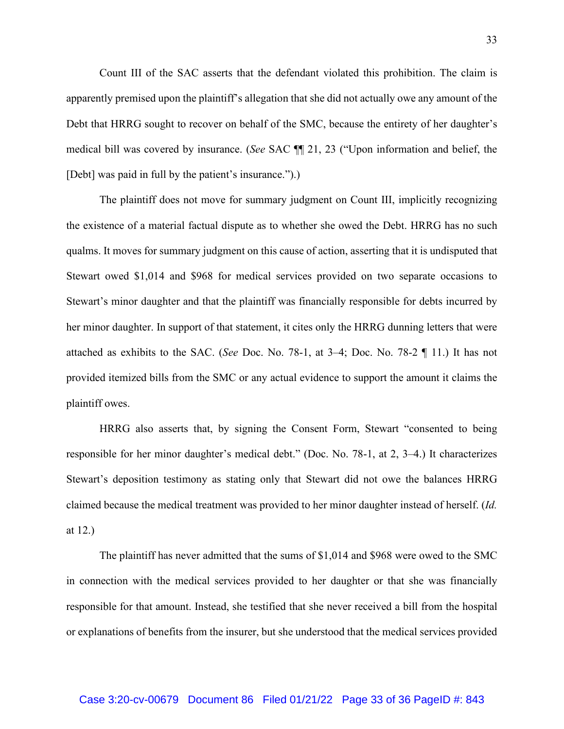Count III of the SAC asserts that the defendant violated this prohibition. The claim is apparently premised upon the plaintiff's allegation that she did not actually owe any amount of the Debt that HRRG sought to recover on behalf of the SMC, because the entirety of her daughter's medical bill was covered by insurance. (*See* SAC ¶¶ 21, 23 ("Upon information and belief, the [Debt] was paid in full by the patient's insurance.").)

The plaintiff does not move for summary judgment on Count III, implicitly recognizing the existence of a material factual dispute as to whether she owed the Debt. HRRG has no such qualms. It moves for summary judgment on this cause of action, asserting that it is undisputed that Stewart owed \$1,014 and \$968 for medical services provided on two separate occasions to Stewart's minor daughter and that the plaintiff was financially responsible for debts incurred by her minor daughter. In support of that statement, it cites only the HRRG dunning letters that were attached as exhibits to the SAC. (*See* Doc. No. 78-1, at 3–4; Doc. No. 78-2 ¶ 11.) It has not provided itemized bills from the SMC or any actual evidence to support the amount it claims the plaintiff owes.

HRRG also asserts that, by signing the Consent Form, Stewart "consented to being responsible for her minor daughter's medical debt." (Doc. No. 78-1, at 2, 3–4.) It characterizes Stewart's deposition testimony as stating only that Stewart did not owe the balances HRRG claimed because the medical treatment was provided to her minor daughter instead of herself. (*Id.* at 12.)

The plaintiff has never admitted that the sums of \$1,014 and \$968 were owed to the SMC in connection with the medical services provided to her daughter or that she was financially responsible for that amount. Instead, she testified that she never received a bill from the hospital or explanations of benefits from the insurer, but she understood that the medical services provided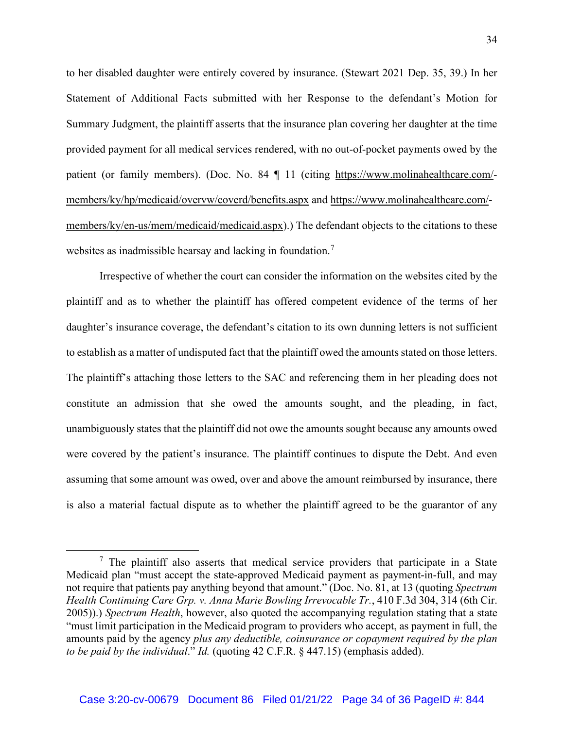to her disabled daughter were entirely covered by insurance. (Stewart 2021 Dep. 35, 39.) In her Statement of Additional Facts submitted with her Response to the defendant's Motion for Summary Judgment, the plaintiff asserts that the insurance plan covering her daughter at the time provided payment for all medical services rendered, with no out-of-pocket payments owed by the patient (or family members). (Doc. No. 84 | 11 (citing https://www.molinahealthcare.com/members/ky/hp/medicaid/overvw/coverd/benefits.aspx and https://www.molinahealthcare.com/ members/ky/en-us/mem/medicaid/medicaid.aspx).) The defendant objects to the citations to these websites as inadmissible hearsay and lacking in foundation.<sup>7</sup>

Irrespective of whether the court can consider the information on the websites cited by the plaintiff and as to whether the plaintiff has offered competent evidence of the terms of her daughter's insurance coverage, the defendant's citation to its own dunning letters is not sufficient to establish as a matter of undisputed fact that the plaintiff owed the amounts stated on those letters. The plaintiff's attaching those letters to the SAC and referencing them in her pleading does not constitute an admission that she owed the amounts sought, and the pleading, in fact, unambiguously states that the plaintiff did not owe the amounts sought because any amounts owed were covered by the patient's insurance. The plaintiff continues to dispute the Debt. And even assuming that some amount was owed, over and above the amount reimbursed by insurance, there is also a material factual dispute as to whether the plaintiff agreed to be the guarantor of any

 $<sup>7</sup>$  The plaintiff also asserts that medical service providers that participate in a State</sup> Medicaid plan "must accept the state-approved Medicaid payment as payment-in-full, and may not require that patients pay anything beyond that amount." (Doc. No. 81, at 13 (quoting *Spectrum Health Continuing Care Grp. v. Anna Marie Bowling Irrevocable Tr.*, 410 F.3d 304, 314 (6th Cir. 2005)).) *Spectrum Health*, however, also quoted the accompanying regulation stating that a state "must limit participation in the Medicaid program to providers who accept, as payment in full, the amounts paid by the agency *plus any deductible, coinsurance or copayment required by the plan to be paid by the individual*." *Id.* (quoting 42 C.F.R. § 447.15) (emphasis added).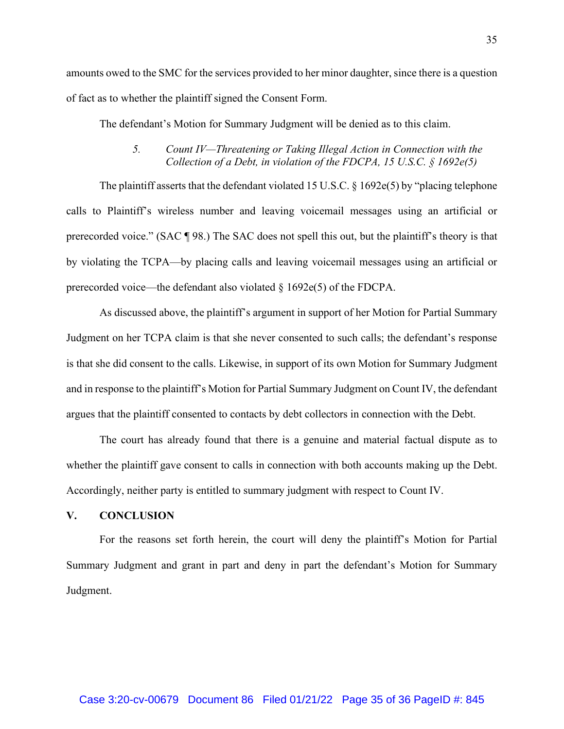amounts owed to the SMC for the services provided to her minor daughter, since there is a question of fact as to whether the plaintiff signed the Consent Form.

The defendant's Motion for Summary Judgment will be denied as to this claim.

# *5. Count IV—Threatening or Taking Illegal Action in Connection with the Collection of a Debt, in violation of the FDCPA, 15 U.S.C. § 1692e(5)*

The plaintiff asserts that the defendant violated 15 U.S.C. § 1692e(5) by "placing telephone calls to Plaintiff's wireless number and leaving voicemail messages using an artificial or prerecorded voice." (SAC ¶ 98.) The SAC does not spell this out, but the plaintiff's theory is that by violating the TCPA—by placing calls and leaving voicemail messages using an artificial or prerecorded voice—the defendant also violated  $\S$  1692e(5) of the FDCPA.

As discussed above, the plaintiff's argument in support of her Motion for Partial Summary Judgment on her TCPA claim is that she never consented to such calls; the defendant's response is that she did consent to the calls. Likewise, in support of its own Motion for Summary Judgment and in response to the plaintiff's Motion for Partial Summary Judgment on Count IV, the defendant argues that the plaintiff consented to contacts by debt collectors in connection with the Debt.

The court has already found that there is a genuine and material factual dispute as to whether the plaintiff gave consent to calls in connection with both accounts making up the Debt. Accordingly, neither party is entitled to summary judgment with respect to Count IV.

#### **V. CONCLUSION**

For the reasons set forth herein, the court will deny the plaintiff's Motion for Partial Summary Judgment and grant in part and deny in part the defendant's Motion for Summary Judgment.